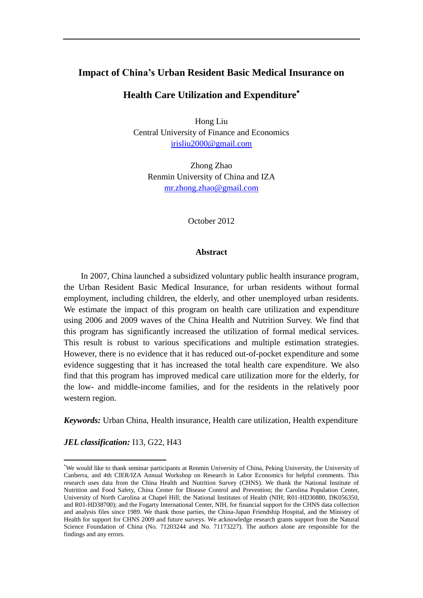# **Impact of China's Urban Resident Basic Medical Insurance on**

# **Health Care Utilization and Expenditure**

Hong Liu Central University of Finance and Economics [irisliu2000@gmail.com](mailto:irisliu2000@gmail.com)

Zhong Zhao Renmin University of China and IZA [mr.zhong.zhao@gmail.com](mailto:mr.zhong.zhao@googlemail.com)

October 2012

#### **Abstract**

In 2007, China launched a subsidized voluntary public health insurance program, the Urban Resident Basic Medical Insurance, for urban residents without formal employment, including children, the elderly, and other unemployed urban residents. We estimate the impact of this program on health care utilization and expenditure using 2006 and 2009 waves of the China Health and Nutrition Survey. We find that this program has significantly increased the utilization of formal medical services. This result is robust to various specifications and multiple estimation strategies. However, there is no evidence that it has reduced out-of-pocket expenditure and some evidence suggesting that it has increased the total health care expenditure. We also find that this program has improved medical care utilization more for the elderly, for the low- and middle-income families, and for the residents in the relatively poor western region.

*Keywords:* Urban China, Health insurance, Health care utilization, Health expenditure

*JEL classification:* I13, G22, H43

 $\overline{\phantom{a}}$ 

We would like to thank seminar participants at Renmin University of China, Peking University, the University of Canberra, and 4th CIER/IZA Annual Workshop on Research in Labor Economics for helpful comments. This research uses data from the China Health and Nutrition Survey (CHNS). We thank the National Institute of Nutrition and Food Safety, China Center for Disease Control and Prevention; the Carolina Population Center, University of North Carolina at Chapel Hill; the National Institutes of Health (NIH; R01-HD30880, DK056350, and R01-HD38700); and the Fogarty International Center, NIH, for financial support for the CHNS data collection and analysis files since 1989. We thank those parties, the China-Japan Friendship Hospital, and the Ministry of Health for support for CHNS 2009 and future surveys. We acknowledge research grants support from the Natural Science Foundation of China (No. 71203244 and No. 71173227). The authors alone are responsible for the findings and any errors.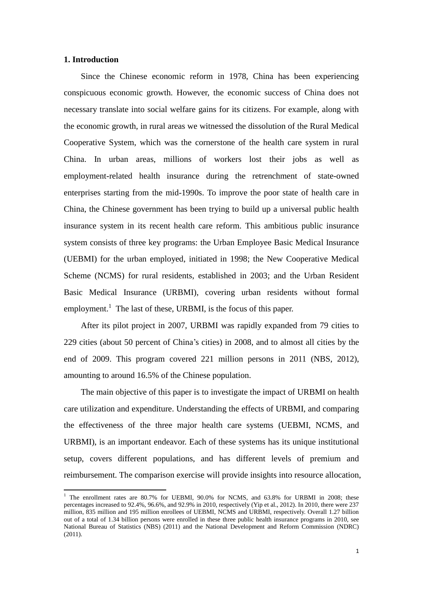### **1. Introduction**

 $\overline{a}$ 

Since the Chinese economic reform in 1978, China has been experiencing conspicuous economic growth. However, the economic success of China does not necessary translate into social welfare gains for its citizens. For example, along with the economic growth, in rural areas we witnessed the dissolution of the Rural Medical Cooperative System, which was the cornerstone of the health care system in rural China. In urban areas, millions of workers lost their jobs as well as employment-related health insurance during the retrenchment of state-owned enterprises starting from the mid-1990s. To improve the poor state of health care in China, the Chinese government has been trying to build up a universal public health insurance system in its recent health care reform. This ambitious public insurance system consists of three key programs: the Urban Employee Basic Medical Insurance (UEBMI) for the urban employed, initiated in 1998; the New Cooperative Medical Scheme (NCMS) for rural residents, established in 2003; and the Urban Resident Basic Medical Insurance (URBMI), covering urban residents without formal employment.<sup>1</sup> The last of these, URBMI, is the focus of this paper.

After its pilot project in 2007, URBMI was rapidly expanded from 79 cities to 229 cities (about 50 percent of China's cities) in 2008, and to almost all cities by the end of 2009. This program covered 221 million persons in 2011 (NBS, 2012), amounting to around 16.5% of the Chinese population.

The main objective of this paper is to investigate the impact of URBMI on health care utilization and expenditure. Understanding the effects of URBMI, and comparing the effectiveness of the three major health care systems (UEBMI, NCMS, and URBMI), is an important endeavor. Each of these systems has its unique institutional setup, covers different populations, and has different levels of premium and reimbursement. The comparison exercise will provide insights into resource allocation,

<sup>&</sup>lt;sup>1</sup> The enrollment rates are 80.7% for UEBMI, 90.0% for NCMS, and 63.8% for URBMI in 2008; these percentages increased to 92.4%, 96.6%, and 92.9% in 2010, respectively (Yip et al., 2012). In 2010, there were 237 million, 835 million and 195 million enrollees of UEBMI, NCMS and URBMI, respectively. Overall 1.27 billion out of a total of 1.34 billion persons were enrolled in these three public health insurance programs in 2010, see National Bureau of Statistics (NBS) (2011) and the National Development and Reform Commission (NDRC) (2011).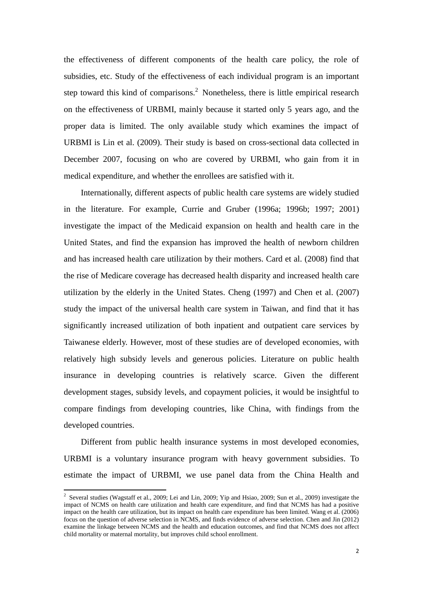the effectiveness of different components of the health care policy, the role of subsidies, etc. Study of the effectiveness of each individual program is an important step toward this kind of comparisons.<sup>2</sup> Nonetheless, there is little empirical research on the effectiveness of URBMI, mainly because it started only 5 years ago, and the proper data is limited. The only available study which examines the impact of URBMI is Lin et al. (2009). Their study is based on cross-sectional data collected in December 2007, focusing on who are covered by URBMI, who gain from it in medical expenditure, and whether the enrollees are satisfied with it.

Internationally, different aspects of public health care systems are widely studied in the literature. For example, Currie and Gruber (1996a; 1996b; 1997; 2001) investigate the impact of the Medicaid expansion on health and health care in the United States, and find the expansion has improved the health of newborn children and has increased health care utilization by their mothers. Card et al. (2008) find that the rise of Medicare coverage has decreased health disparity and increased health care utilization by the elderly in the United States. Cheng (1997) and Chen et al. (2007) study the impact of the universal health care system in Taiwan, and find that it has significantly increased utilization of both inpatient and outpatient care services by Taiwanese elderly. However, most of these studies are of developed economies, with relatively high subsidy levels and generous policies. Literature on public health insurance in developing countries is relatively scarce. Given the different development stages, subsidy levels, and copayment policies, it would be insightful to compare findings from developing countries, like China, with findings from the developed countries.

Different from public health insurance systems in most developed economies, URBMI is a voluntary insurance program with heavy government subsidies. To estimate the impact of URBMI, we use panel data from the China Health and

 2 Several studies (Wagstaff et al., 2009; Lei and Lin, 2009; Yip and Hsiao, 2009; Sun et al., 2009) investigate the impact of NCMS on health care utilization and health care expenditure, and find that NCMS has had a positive impact on the health care utilization, but its impact on health care expenditure has been limited. Wang et al. (2006) focus on the question of adverse selection in NCMS, and finds evidence of adverse selection. Chen and Jin (2012) examine the linkage between NCMS and the health and education outcomes, and find that NCMS does not affect child mortality or maternal mortality, but improves child school enrollment.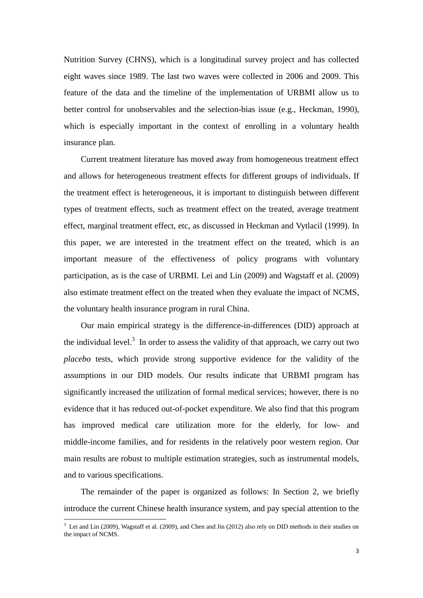Nutrition Survey (CHNS), which is a longitudinal survey project and has collected eight waves since 1989. The last two waves were collected in 2006 and 2009. This feature of the data and the timeline of the implementation of URBMI allow us to better control for unobservables and the selection-bias issue (e.g., Heckman, 1990), which is especially important in the context of enrolling in a voluntary health insurance plan.

Current treatment literature has moved away from homogeneous treatment effect and allows for heterogeneous treatment effects for different groups of individuals. If the treatment effect is heterogeneous, it is important to distinguish between different types of treatment effects, such as treatment effect on the treated, average treatment effect, marginal treatment effect, etc, as discussed in Heckman and Vytlacil (1999). In this paper, we are interested in the treatment effect on the treated, which is an important measure of the effectiveness of policy programs with voluntary participation, as is the case of URBMI. Lei and Lin (2009) and Wagstaff et al. (2009) also estimate treatment effect on the treated when they evaluate the impact of NCMS, the voluntary health insurance program in rural China.

Our main empirical strategy is the difference-in-differences (DID) approach at the individual level.<sup>3</sup> In order to assess the validity of that approach, we carry out two *placebo* tests, which provide strong supportive evidence for the validity of the assumptions in our DID models. Our results indicate that URBMI program has significantly increased the utilization of formal medical services; however, there is no evidence that it has reduced out-of-pocket expenditure. We also find that this program has improved medical care utilization more for the elderly, for low- and middle-income families, and for residents in the relatively poor western region. Our main results are robust to multiple estimation strategies, such as instrumental models, and to various specifications.

The remainder of the paper is organized as follows: In Section 2, we briefly introduce the current Chinese health insurance system, and pay special attention to the

 $\overline{a}$ 

 $3$  Lei and Lin (2009), Wagstaff et al. (2009), and Chen and Jin (2012) also rely on DID methods in their studies on the impact of NCMS.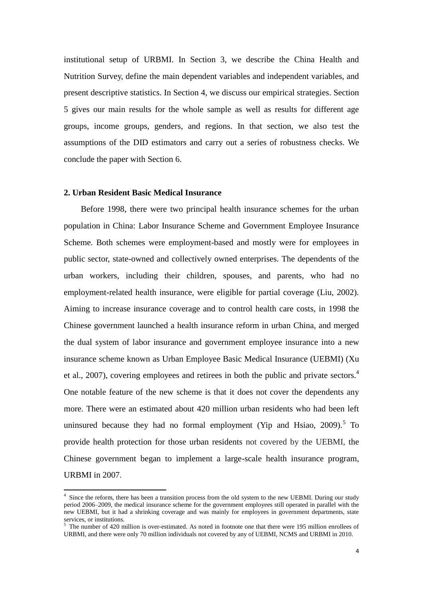institutional setup of URBMI. In Section 3, we describe the China Health and Nutrition Survey, define the main dependent variables and independent variables, and present descriptive statistics. In Section 4, we discuss our empirical strategies. Section 5 gives our main results for the whole sample as well as results for different age groups, income groups, genders, and regions. In that section, we also test the assumptions of the DID estimators and carry out a series of robustness checks. We conclude the paper with Section 6.

#### **2. Urban Resident Basic Medical Insurance**

 $\overline{a}$ 

Before 1998, there were two principal health insurance schemes for the urban population in China: Labor Insurance Scheme and Government Employee Insurance Scheme. Both schemes were employment-based and mostly were for employees in public sector, state-owned and collectively owned enterprises. The dependents of the urban workers, including their children, spouses, and parents, who had no employment-related health insurance, were eligible for partial coverage (Liu, 2002). Aiming to increase insurance coverage and to control health care costs, in 1998 the Chinese government launched a health insurance reform in urban China, and merged the dual system of labor insurance and government employee insurance into a new insurance scheme known as Urban Employee Basic Medical Insurance (UEBMI) (Xu et al., 2007), covering employees and retirees in both the public and private sectors.<sup>4</sup> One notable feature of the new scheme is that it does not cover the dependents any more. There were an estimated about 420 million urban residents who had been left uninsured because they had no formal employment (Yip and Hsiao, 2009).<sup>5</sup> To provide health protection for those urban residents not covered by the UEBMI, the Chinese government began to implement a large-scale health insurance program, URBMI in 2007.

<sup>&</sup>lt;sup>4</sup> Since the reform, there has been a transition process from the old system to the new UEBMI. During our study period 2006–2009, the medical insurance scheme for the government employees still operated in parallel with the new UEBMI, but it had a shrinking coverage and was mainly for employees in government departments, state services, or institutions.

 $5$  The number of 420 million is over-estimated. As noted in footnote one that there were 195 million enrollees of URBMI, and there were only 70 million individuals not covered by any of UEBMI, NCMS and URBMI in 2010.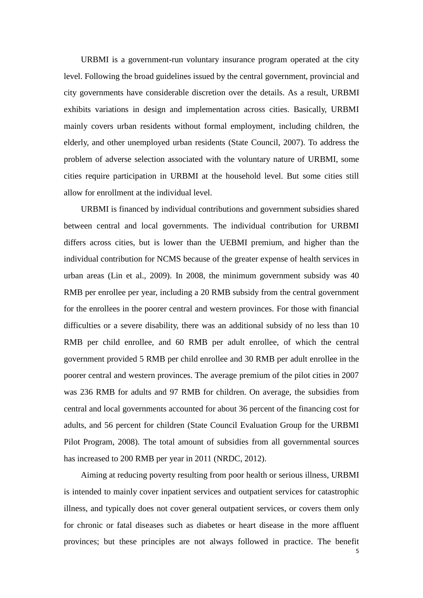URBMI is a government-run voluntary insurance program operated at the city level. Following the broad guidelines issued by the central government, provincial and city governments have considerable discretion over the details. As a result, URBMI exhibits variations in design and implementation across cities. Basically, URBMI mainly covers urban residents without formal employment, including children, the elderly, and other unemployed urban residents (State Council, 2007). To address the problem of adverse selection associated with the voluntary nature of URBMI, some cities require participation in URBMI at the household level. But some cities still allow for enrollment at the individual level.

URBMI is financed by individual contributions and government subsidies shared between central and local governments. The individual contribution for URBMI differs across cities, but is lower than the UEBMI premium, and higher than the individual contribution for NCMS because of the greater expense of health services in urban areas (Lin et al., 2009). In 2008, the minimum government subsidy was 40 RMB per enrollee per year, including a 20 RMB subsidy from the central government for the enrollees in the poorer central and western provinces. For those with financial difficulties or a severe disability, there was an additional subsidy of no less than 10 RMB per child enrollee, and 60 RMB per adult enrollee, of which the central government provided 5 RMB per child enrollee and 30 RMB per adult enrollee in the poorer central and western provinces. The average premium of the pilot cities in 2007 was 236 RMB for adults and 97 RMB for children. On average, the subsidies from central and local governments accounted for about 36 percent of the financing cost for adults, and 56 percent for children (State Council Evaluation Group for the URBMI Pilot Program, 2008). The total amount of subsidies from all governmental sources has increased to 200 RMB per year in 2011 (NRDC, 2012).

Aiming at reducing poverty resulting from poor health or serious illness, URBMI is intended to mainly cover inpatient services and outpatient services for catastrophic illness, and typically does not cover general outpatient services, or covers them only for chronic or fatal diseases such as diabetes or heart disease in the more affluent provinces; but these principles are not always followed in practice. The benefit

5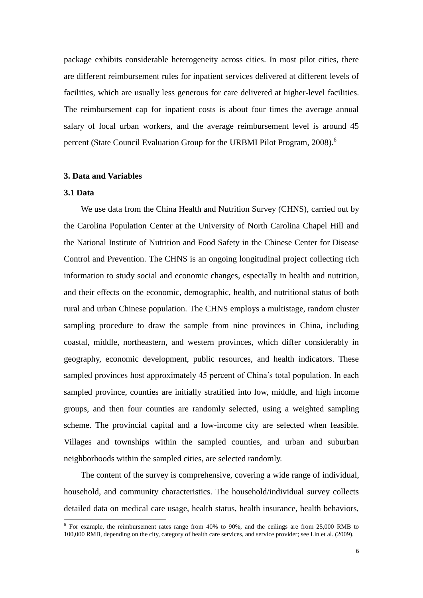package exhibits considerable heterogeneity across cities. In most pilot cities, there are different reimbursement rules for inpatient services delivered at different levels of facilities, which are usually less generous for care delivered at higher-level facilities. The reimbursement cap for inpatient costs is about four times the average annual salary of local urban workers, and the average reimbursement level is around 45 percent (State Council Evaluation Group for the URBMI Pilot Program, 2008).<sup>6</sup>

# **3. Data and Variables**

#### **3.1 Data**

We use data from the China Health and Nutrition Survey (CHNS), carried out by the Carolina Population Center at the University of North Carolina Chapel Hill and the National Institute of Nutrition and Food Safety in the Chinese Center for Disease Control and Prevention. The CHNS is an ongoing longitudinal project collecting rich information to study social and economic changes, especially in health and nutrition, and their effects on the economic, demographic, health, and nutritional status of both rural and urban Chinese population. The CHNS employs a multistage, random cluster sampling procedure to draw the sample from nine provinces in China, including coastal, middle, northeastern, and western provinces, which differ considerably in geography, economic development, public resources, and health indicators. These sampled provinces host approximately 45 percent of China's total population. In each sampled province, counties are initially stratified into low, middle, and high income groups, and then four counties are randomly selected, using a weighted sampling scheme. The provincial capital and a low-income city are selected when feasible. Villages and townships within the sampled counties, and urban and suburban neighborhoods within the sampled cities, are selected randomly.

The content of the survey is comprehensive, covering a wide range of individual, household, and community characteristics. The household/individual survey collects detailed data on medical care usage, health status, health insurance, health behaviors,

 6 For example, the reimbursement rates range from 40% to 90%, and the ceilings are from 25,000 RMB to 100,000 RMB, depending on the city, category of health care services, and service provider; see Lin et al. (2009).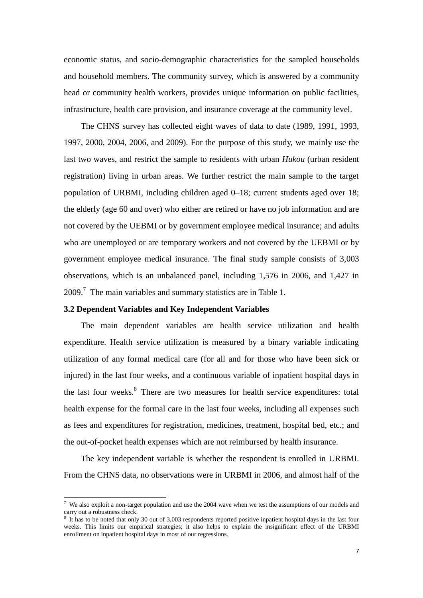economic status, and socio-demographic characteristics for the sampled households and household members. The community survey, which is answered by a community head or community health workers, provides unique information on public facilities, infrastructure, health care provision, and insurance coverage at the community level.

The CHNS survey has collected eight waves of data to date (1989, 1991, 1993, 1997, 2000, 2004, 2006, and 2009). For the purpose of this study, we mainly use the last two waves, and restrict the sample to residents with urban *Hukou* (urban resident registration) living in urban areas. We further restrict the main sample to the target population of URBMI, including children aged 0–18; current students aged over 18; the elderly (age 60 and over) who either are retired or have no job information and are not covered by the UEBMI or by government employee medical insurance; and adults who are unemployed or are temporary workers and not covered by the UEBMI or by government employee medical insurance. The final study sample consists of 3,003 observations, which is an unbalanced panel, including 1,576 in 2006, and 1,427 in  $2009$ .<sup>7</sup> The main variables and summary statistics are in Table 1.

#### **3.2 Dependent Variables and Key Independent Variables**

 $\overline{\phantom{a}}$ 

The main dependent variables are health service utilization and health expenditure. Health service utilization is measured by a binary variable indicating utilization of any formal medical care (for all and for those who have been sick or injured) in the last four weeks, and a continuous variable of inpatient hospital days in the last four weeks.<sup>8</sup> There are two measures for health service expenditures: total health expense for the formal care in the last four weeks, including all expenses such as fees and expenditures for registration, medicines, treatment, hospital bed, etc.; and the out-of-pocket health expenses which are not reimbursed by health insurance.

The key independent variable is whether the respondent is enrolled in URBMI. From the CHNS data, no observations were in URBMI in 2006, and almost half of the

<sup>&</sup>lt;sup>7</sup> We also exploit a non-target population and use the 2004 wave when we test the assumptions of our models and carry out a robustness check.

<sup>8</sup> It has to be noted that only 30 out of 3,003 respondents reported positive inpatient hospital days in the last four weeks. This limits our empirical strategies; it also helps to explain the insignificant effect of the URBMI enrollment on inpatient hospital days in most of our regressions.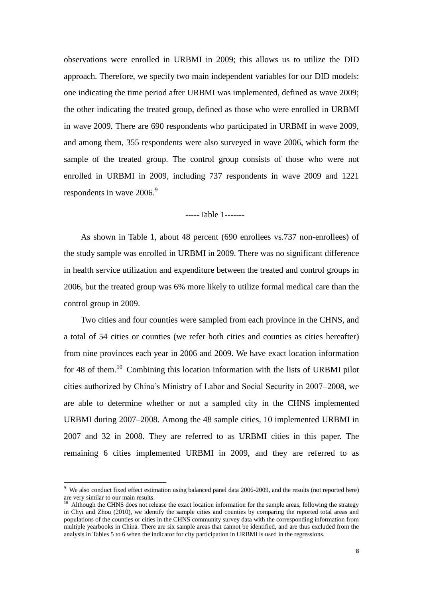observations were enrolled in URBMI in 2009; this allows us to utilize the DID approach. Therefore, we specify two main independent variables for our DID models: one indicating the time period after URBMI was implemented, defined as wave 2009; the other indicating the treated group, defined as those who were enrolled in URBMI in wave 2009. There are 690 respondents who participated in URBMI in wave 2009, and among them, 355 respondents were also surveyed in wave 2006, which form the sample of the treated group. The control group consists of those who were not enrolled in URBMI in 2009, including 737 respondents in wave 2009 and 1221 respondents in wave 2006.<sup>9</sup>

-----Table 1-------

As shown in Table 1, about 48 percent (690 enrollees vs.737 non-enrollees) of the study sample was enrolled in URBMI in 2009. There was no significant difference in health service utilization and expenditure between the treated and control groups in 2006, but the treated group was 6% more likely to utilize formal medical care than the control group in 2009.

Two cities and four counties were sampled from each province in the CHNS, and a total of 54 cities or counties (we refer both cities and counties as cities hereafter) from nine provinces each year in 2006 and 2009. We have exact location information for 48 of them.<sup>10</sup> Combining this location information with the lists of URBMI pilot cities authorized by China's Ministry of Labor and Social Security in 2007–2008, we are able to determine whether or not a sampled city in the CHNS implemented URBMI during 2007–2008. Among the 48 sample cities, 10 implemented URBMI in 2007 and 32 in 2008. They are referred to as URBMI cities in this paper. The remaining 6 cities implemented URBMI in 2009, and they are referred to as

 $\overline{a}$ 

<sup>&</sup>lt;sup>9</sup> We also conduct fixed effect estimation using balanced panel data 2006-2009, and the results (not reported here) are very similar to our main results.

 $10$  Although the CHNS does not release the exact location information for the sample areas, following the strategy in Chyi and Zhou (2010), we identify the sample cities and counties by comparing the reported total areas and populations of the counties or cities in the CHNS community survey data with the corresponding information from multiple yearbooks in China. There are six sample areas that cannot be identified, and are thus excluded from the analysis in Tables 5 to 6 when the indicator for city participation in URBMI is used in the regressions.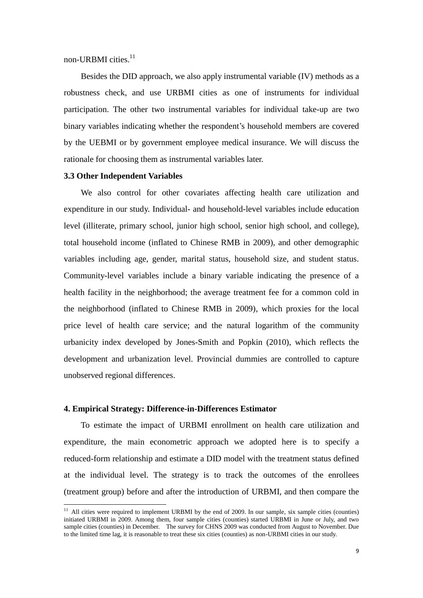non-URBMI cities.<sup>11</sup>

Besides the DID approach, we also apply instrumental variable (IV) methods as a robustness check, and use URBMI cities as one of instruments for individual participation. The other two instrumental variables for individual take-up are two binary variables indicating whether the respondent's household members are covered by the UEBMI or by government employee medical insurance. We will discuss the rationale for choosing them as instrumental variables later.

#### **3.3 Other Independent Variables**

 $\overline{a}$ 

We also control for other covariates affecting health care utilization and expenditure in our study. Individual- and household-level variables include education level (illiterate, primary school, junior high school, senior high school, and college), total household income (inflated to Chinese RMB in 2009), and other demographic variables including age, gender, marital status, household size, and student status. Community-level variables include a binary variable indicating the presence of a health facility in the neighborhood; the average treatment fee for a common cold in the neighborhood (inflated to Chinese RMB in 2009), which proxies for the local price level of health care service; and the natural logarithm of the community urbanicity index developed by Jones-Smith and Popkin (2010), which reflects the development and urbanization level. Provincial dummies are controlled to capture unobserved regional differences.

#### **4. Empirical Strategy: Difference-in-Differences Estimator**

To estimate the impact of URBMI enrollment on health care utilization and expenditure, the main econometric approach we adopted here is to specify a reduced-form relationship and estimate a DID model with the treatment status defined at the individual level. The strategy is to track the outcomes of the enrollees (treatment group) before and after the introduction of URBMI, and then compare the

 $11$  All cities were required to implement URBMI by the end of 2009. In our sample, six sample cities (counties) initiated URBMI in 2009. Among them, four sample cities (counties) started URBMI in June or July, and two sample cities (counties) in December. The survey for CHNS 2009 was conducted from August to November. Due to the limited time lag, it is reasonable to treat these six cities (counties) as non-URBMI cities in our study.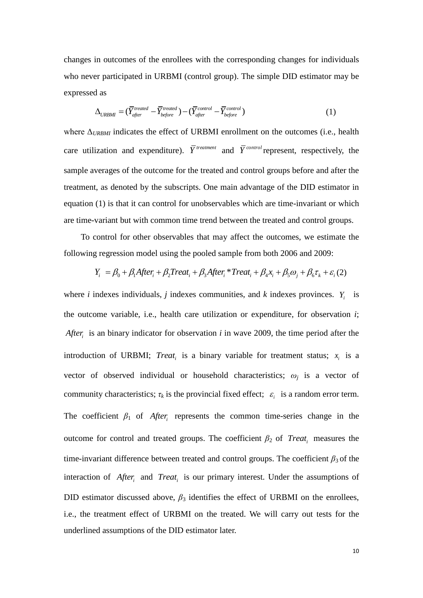changes in outcomes of the enrollees with the corresponding changes for individuals who never participated in URBMI (control group). The simple DID estimator may be expressed as

1 as  
\n
$$
\Delta_{URBMI} = (\overline{Y}_{after}^{treated} - \overline{Y}_{before}^{treated}) - (\overline{Y}_{after}^{control} - \overline{Y}_{before}^{control})
$$
\n(1)

where Δ*URBMI* indicates the effect of URBMI enrollment on the outcomes (i.e., health care utilization and expenditure).  $\overline{Y}^{treatment}$  and  $\overline{Y}^{control}$  represent, respectively, the sample averages of the outcome for the treated and control groups before and after the treatment, as denoted by the subscripts. One main advantage of the DID estimator in equation (1) is that it can control for unobservables which are time-invariant or which are time-variant but with common time trend between the treated and control groups.

To control for other observables that may affect the outcomes, we estimate the following regression model using the pooled sample from both 2006 and 2009: g regression model using the pooled sample from both 2006 and 2009:<br> $Y_i = \beta_0 + \beta_1 After_i + \beta_2 Treat_i + \beta_3 After_i * Treat_i + \beta_4 x_i + \beta_5 \omega_j + \beta_6 \tau_k + \varepsilon_i(2)$ 

$$
Y_i = \beta_0 + \beta_1 After_i + \beta_2 Treat_i + \beta_3 After_i * Treat_i + \beta_4 x_i + \beta_5 \omega_j + \beta_6 \tau_k + \varepsilon_i (2)
$$

where *i* indexes individuals, *j* indexes communities, and *k* indexes provinces.  $Y_i$  is the outcome variable, i.e., health care utilization or expenditure, for observation *i*; *After<sup>i</sup>* is an binary indicator for observation *i* in wave 2009, the time period after the introduction of URBMI; *Treat<sub>i</sub>* is a binary variable for treatment status;  $x_i$  is a vector of observed individual or household characteristics;  $\omega_i$  is a vector of community characteristics;  $\tau_k$  is the provincial fixed effect;  $\varepsilon_i$  is a random error term. The coefficient  $\beta_1$  of *After<sub>i</sub>* represents the common time-series change in the outcome for control and treated groups. The coefficient  $\beta_2$  of *Treat<sub>i</sub>* measures the time-invariant difference between treated and control groups. The coefficient  $\beta_3$  of the interaction of *After<sub>i</sub>* and *Treat<sub>i</sub>* is our primary interest. Under the assumptions of DID estimator discussed above,  $\beta_3$  identifies the effect of URBMI on the enrollees, i.e., the treatment effect of URBMI on the treated. We will carry out tests for the underlined assumptions of the DID estimator later.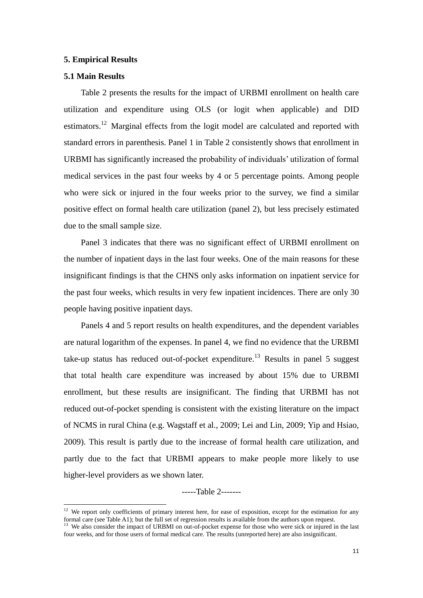#### **5. Empirical Results**

# **5.1 Main Results**

 $\overline{a}$ 

Table 2 presents the results for the impact of URBMI enrollment on health care utilization and expenditure using OLS (or logit when applicable) and DID estimators.<sup>12</sup> Marginal effects from the logit model are calculated and reported with standard errors in parenthesis. Panel 1 in Table 2 consistently shows that enrollment in URBMI has significantly increased the probability of individuals' utilization of formal medical services in the past four weeks by 4 or 5 percentage points. Among people who were sick or injured in the four weeks prior to the survey, we find a similar positive effect on formal health care utilization (panel 2), but less precisely estimated due to the small sample size.

Panel 3 indicates that there was no significant effect of URBMI enrollment on the number of inpatient days in the last four weeks. One of the main reasons for these insignificant findings is that the CHNS only asks information on inpatient service for the past four weeks, which results in very few inpatient incidences. There are only 30 people having positive inpatient days.

Panels 4 and 5 report results on health expenditures, and the dependent variables are natural logarithm of the expenses. In panel 4, we find no evidence that the URBMI take-up status has reduced out-of-pocket expenditure.<sup>13</sup> Results in panel 5 suggest that total health care expenditure was increased by about 15% due to URBMI enrollment, but these results are insignificant. The finding that URBMI has not reduced out-of-pocket spending is consistent with the existing literature on the impact of NCMS in rural China (e.g. Wagstaff et al., 2009; Lei and Lin, 2009; Yip and Hsiao, 2009). This result is partly due to the increase of formal health care utilization, and partly due to the fact that URBMI appears to make people more likely to use higher-level providers as we shown later.

-----Table 2-------

<sup>&</sup>lt;sup>12</sup> We report only coefficients of primary interest here, for ease of exposition, except for the estimation for any formal care (see Table A1); but the full set of regression results is available from the authors upon request.

<sup>&</sup>lt;sup>13</sup> We also consider the impact of URBMI on out-of-pocket expense for those who were sick or injured in the last four weeks, and for those users of formal medical care. The results (unreported here) are also insignificant.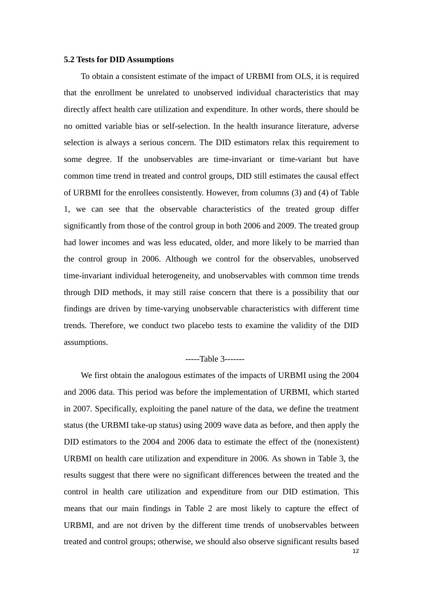#### **5.2 Tests for DID Assumptions**

To obtain a consistent estimate of the impact of URBMI from OLS, it is required that the enrollment be unrelated to unobserved individual characteristics that may directly affect health care utilization and expenditure. In other words, there should be no omitted variable bias or self-selection. In the health insurance literature, adverse selection is always a serious concern. The DID estimators relax this requirement to some degree. If the unobservables are time-invariant or time-variant but have common time trend in treated and control groups, DID still estimates the causal effect of URBMI for the enrollees consistently. However, from columns (3) and (4) of Table 1, we can see that the observable characteristics of the treated group differ significantly from those of the control group in both 2006 and 2009. The treated group had lower incomes and was less educated, older, and more likely to be married than the control group in 2006. Although we control for the observables, unobserved time-invariant individual heterogeneity, and unobservables with common time trends through DID methods, it may still raise concern that there is a possibility that our findings are driven by time-varying unobservable characteristics with different time trends. Therefore, we conduct two placebo tests to examine the validity of the DID assumptions.

# -----Table 3-------

We first obtain the analogous estimates of the impacts of URBMI using the 2004 and 2006 data. This period was before the implementation of URBMI, which started in 2007. Specifically, exploiting the panel nature of the data, we define the treatment status (the URBMI take-up status) using 2009 wave data as before, and then apply the DID estimators to the 2004 and 2006 data to estimate the effect of the (nonexistent) URBMI on health care utilization and expenditure in 2006. As shown in Table 3, the results suggest that there were no significant differences between the treated and the control in health care utilization and expenditure from our DID estimation. This means that our main findings in Table 2 are most likely to capture the effect of URBMI, and are not driven by the different time trends of unobservables between treated and control groups; otherwise, we should also observe significant results based

12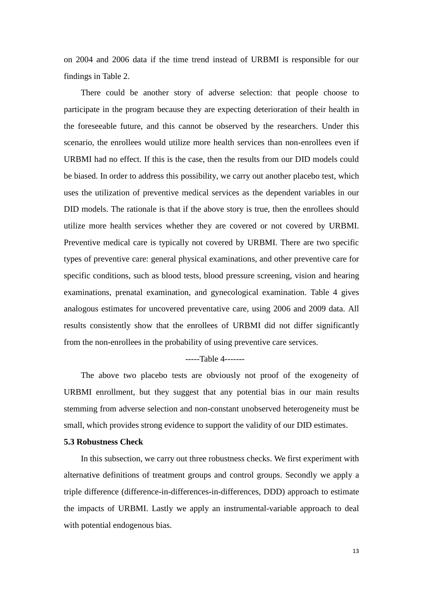on 2004 and 2006 data if the time trend instead of URBMI is responsible for our findings in Table 2.

There could be another story of adverse selection: that people choose to participate in the program because they are expecting deterioration of their health in the foreseeable future, and this cannot be observed by the researchers. Under this scenario, the enrollees would utilize more health services than non-enrollees even if URBMI had no effect. If this is the case, then the results from our DID models could be biased. In order to address this possibility, we carry out another placebo test, which uses the utilization of preventive medical services as the dependent variables in our DID models. The rationale is that if the above story is true, then the enrollees should utilize more health services whether they are covered or not covered by URBMI. Preventive medical care is typically not covered by URBMI. There are two specific types of preventive care: general physical examinations, and other preventive care for specific conditions, such as blood tests, blood pressure screening, vision and hearing examinations, prenatal examination, and gynecological examination. Table 4 gives analogous estimates for uncovered preventative care, using 2006 and 2009 data. All results consistently show that the enrollees of URBMI did not differ significantly from the non-enrollees in the probability of using preventive care services.

-----Table 4-------

The above two placebo tests are obviously not proof of the exogeneity of URBMI enrollment, but they suggest that any potential bias in our main results stemming from adverse selection and non-constant unobserved heterogeneity must be small, which provides strong evidence to support the validity of our DID estimates.

#### **5.3 Robustness Check**

In this subsection, we carry out three robustness checks. We first experiment with alternative definitions of treatment groups and control groups. Secondly we apply a triple difference (difference-in-differences-in-differences, DDD) approach to estimate the impacts of URBMI. Lastly we apply an instrumental-variable approach to deal with potential endogenous bias.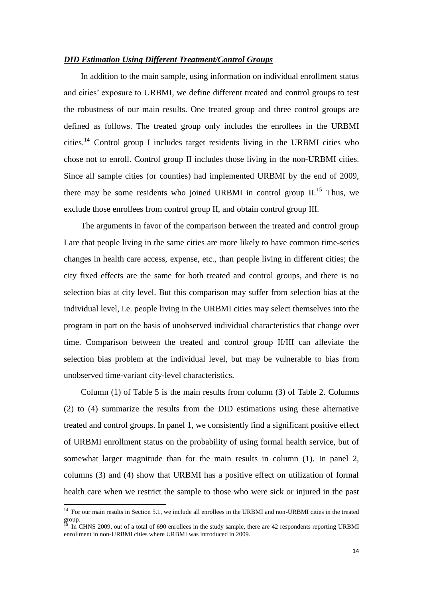#### *DID Estimation Using Different Treatment/Control Groups*

In addition to the main sample, using information on individual enrollment status and cities' exposure to URBMI, we define different treated and control groups to test the robustness of our main results. One treated group and three control groups are defined as follows. The treated group only includes the enrollees in the URBMI cities.<sup>14</sup> Control group I includes target residents living in the URBMI cities who chose not to enroll. Control group II includes those living in the non-URBMI cities. Since all sample cities (or counties) had implemented URBMI by the end of 2009, there may be some residents who joined URBMI in control group  $II$ <sup>15</sup>. Thus, we exclude those enrollees from control group II, and obtain control group III.

The arguments in favor of the comparison between the treated and control group I are that people living in the same cities are more likely to have common time-series changes in health care access, expense, etc., than people living in different cities; the city fixed effects are the same for both treated and control groups, and there is no selection bias at city level. But this comparison may suffer from selection bias at the individual level, i.e. people living in the URBMI cities may select themselves into the program in part on the basis of unobserved individual characteristics that change over time. Comparison between the treated and control group II/III can alleviate the selection bias problem at the individual level, but may be vulnerable to bias from unobserved time-variant city-level characteristics.

Column (1) of Table 5 is the main results from column (3) of Table 2. Columns (2) to (4) summarize the results from the DID estimations using these alternative treated and control groups. In panel 1, we consistently find a significant positive effect of URBMI enrollment status on the probability of using formal health service, but of somewhat larger magnitude than for the main results in column (1). In panel 2, columns (3) and (4) show that URBMI has a positive effect on utilization of formal health care when we restrict the sample to those who were sick or injured in the past

 $\overline{a}$ 

<sup>&</sup>lt;sup>14</sup> For our main results in Section 5.1, we include all enrollees in the URBMI and non-URBMI cities in the treated group.

 $^{15}$  In CHNS 2009, out of a total of 690 enrollees in the study sample, there are 42 respondents reporting URBMI enrollment in non-URBMI cities where URBMI was introduced in 2009.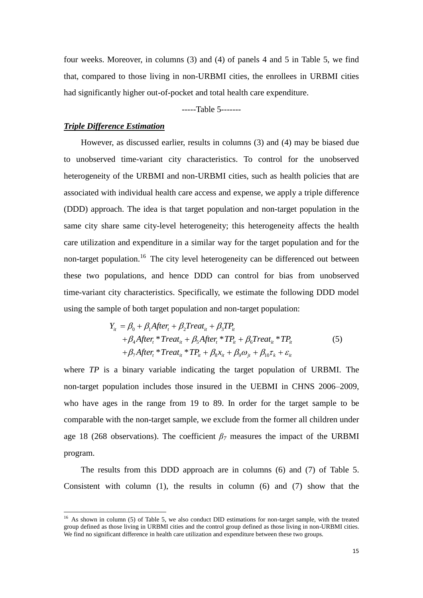four weeks. Moreover, in columns (3) and (4) of panels 4 and 5 in Table 5, we find that, compared to those living in non-URBMI cities, the enrollees in URBMI cities had significantly higher out-of-pocket and total health care expenditure.

-----Table 5-------

#### *Triple Difference Estimation*

 $\overline{\phantom{a}}$ 

However, as discussed earlier, results in columns (3) and (4) may be biased due to unobserved time-variant city characteristics. To control for the unobserved heterogeneity of the URBMI and non-URBMI cities, such as health policies that are associated with individual health care access and expense, we apply a triple difference (DDD) approach. The idea is that target population and non-target population in the same city share same city-level heterogeneity; this heterogeneity affects the health care utilization and expenditure in a similar way for the target population and for the non-target population.<sup>16</sup> The city level heterogeneity can be differenced out between these two populations, and hence DDD can control for bias from unobserved time-variant city characteristics. Specifically, we estimate the following DDD model using the sample of both target population and non-target population:<br>  $Y_{it} = \beta_0 + \beta_1 After_t + \beta_2 Treat_{it} + \beta_3 TP_{it}$ 

$$
Y_{it} = \beta_0 + \beta_1 After_t + \beta_2 Treat_{it} + \beta_3 TP_{it}
$$
  
+  $\beta_4 After_t * Treat_{it} + \beta_5 After_t * TP_{it} + \beta_6 Treat_{it} * TP_{it}$   
+  $\beta_7 After_t * Treat_{it} * TP_{it} + \beta_8 x_{it} + \beta_9 \omega_{jt} + \beta_{10} \tau_k + \varepsilon_{it}$  (5)

where *TP* is a binary variable indicating the target population of URBMI. The non-target population includes those insured in the UEBMI in CHNS 2006–2009, who have ages in the range from 19 to 89. In order for the target sample to be comparable with the non-target sample, we exclude from the former all children under age 18 (268 observations). The coefficient  $\beta$ <sup>7</sup> measures the impact of the URBMI program.

The results from this DDD approach are in columns (6) and (7) of Table 5. Consistent with column (1), the results in column (6) and (7) show that the

<sup>&</sup>lt;sup>16</sup> As shown in column (5) of Table 5, we also conduct DID estimations for non-target sample, with the treated group defined as those living in URBMI cities and the control group defined as those living in non-URBMI cities. We find no significant difference in health care utilization and expenditure between these two groups.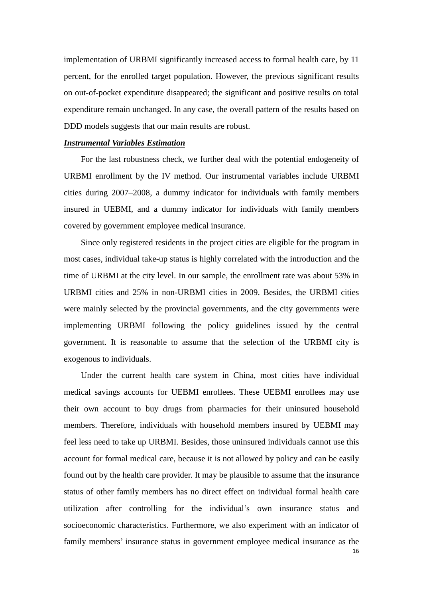implementation of URBMI significantly increased access to formal health care, by 11 percent, for the enrolled target population. However, the previous significant results on out-of-pocket expenditure disappeared; the significant and positive results on total expenditure remain unchanged. In any case, the overall pattern of the results based on DDD models suggests that our main results are robust.

#### *Instrumental Variables Estimation*

For the last robustness check, we further deal with the potential endogeneity of URBMI enrollment by the IV method. Our instrumental variables include URBMI cities during 2007–2008, a dummy indicator for individuals with family members insured in UEBMI, and a dummy indicator for individuals with family members covered by government employee medical insurance.

Since only registered residents in the project cities are eligible for the program in most cases, individual take-up status is highly correlated with the introduction and the time of URBMI at the city level. In our sample, the enrollment rate was about 53% in URBMI cities and 25% in non-URBMI cities in 2009. Besides, the URBMI cities were mainly selected by the provincial governments, and the city governments were implementing URBMI following the policy guidelines issued by the central government. It is reasonable to assume that the selection of the URBMI city is exogenous to individuals.

Under the current health care system in China, most cities have individual medical savings accounts for UEBMI enrollees. These UEBMI enrollees may use their own account to buy drugs from pharmacies for their uninsured household members. Therefore, individuals with household members insured by UEBMI may feel less need to take up URBMI. Besides, those uninsured individuals cannot use this account for formal medical care, because it is not allowed by policy and can be easily found out by the health care provider. It may be plausible to assume that the insurance status of other family members has no direct effect on individual formal health care utilization after controlling for the individual's own insurance status and socioeconomic characteristics. Furthermore, we also experiment with an indicator of family members' insurance status in government employee medical insurance as the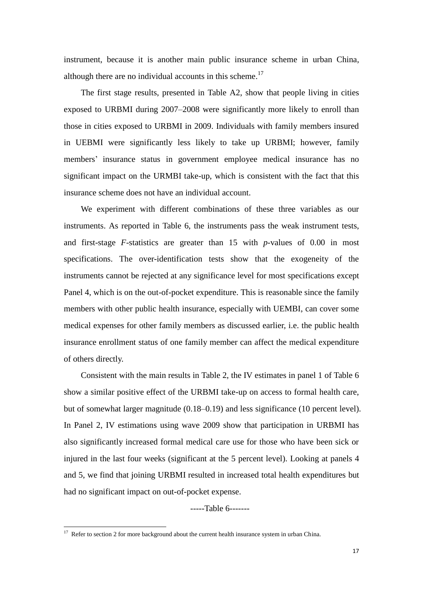instrument, because it is another main public insurance scheme in urban China, although there are no individual accounts in this scheme.<sup>17</sup>

The first stage results, presented in Table A2, show that people living in cities exposed to URBMI during 2007–2008 were significantly more likely to enroll than those in cities exposed to URBMI in 2009. Individuals with family members insured in UEBMI were significantly less likely to take up URBMI; however, family members' insurance status in government employee medical insurance has no significant impact on the URMBI take-up, which is consistent with the fact that this insurance scheme does not have an individual account.

We experiment with different combinations of these three variables as our instruments. As reported in Table 6, the instruments pass the weak instrument tests, and first-stage *F*-statistics are greater than 15 with *p*-values of 0.00 in most specifications. The over-identification tests show that the exogeneity of the instruments cannot be rejected at any significance level for most specifications except Panel 4, which is on the out-of-pocket expenditure. This is reasonable since the family members with other public health insurance, especially with UEMBI, can cover some medical expenses for other family members as discussed earlier, i.e. the public health insurance enrollment status of one family member can affect the medical expenditure of others directly.

Consistent with the main results in Table 2, the IV estimates in panel 1 of Table 6 show a similar positive effect of the URBMI take-up on access to formal health care, but of somewhat larger magnitude (0.18–0.19) and less significance (10 percent level). In Panel 2, IV estimations using wave 2009 show that participation in URBMI has also significantly increased formal medical care use for those who have been sick or injured in the last four weeks (significant at the 5 percent level). Looking at panels 4 and 5, we find that joining URBMI resulted in increased total health expenditures but had no significant impact on out-of-pocket expense.

-----Table 6-------

 $\overline{a}$ 

 $17$  Refer to section 2 for more background about the current health insurance system in urban China.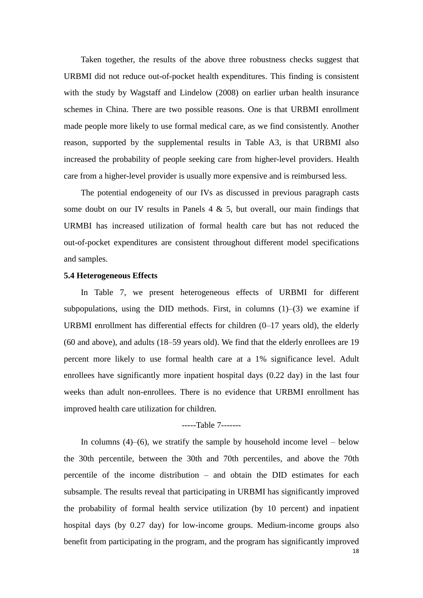Taken together, the results of the above three robustness checks suggest that URBMI did not reduce out-of-pocket health expenditures. This finding is consistent with the study by Wagstaff and Lindelow (2008) on earlier urban health insurance schemes in China. There are two possible reasons. One is that URBMI enrollment made people more likely to use formal medical care, as we find consistently. Another reason, supported by the supplemental results in Table A3, is that URBMI also increased the probability of people seeking care from higher-level providers. Health care from a higher-level provider is usually more expensive and is reimbursed less.

The potential endogeneity of our IVs as discussed in previous paragraph casts some doubt on our IV results in Panels  $4 \& 5$ , but overall, our main findings that URMBI has increased utilization of formal health care but has not reduced the out-of-pocket expenditures are consistent throughout different model specifications and samples.

### **5.4 Heterogeneous Effects**

In Table 7, we present heterogeneous effects of URBMI for different subpopulations, using the DID methods. First, in columns  $(1)$ – $(3)$  we examine if URBMI enrollment has differential effects for children (0–17 years old), the elderly (60 and above), and adults (18–59 years old). We find that the elderly enrollees are 19 percent more likely to use formal health care at a 1% significance level. Adult enrollees have significantly more inpatient hospital days (0.22 day) in the last four weeks than adult non-enrollees. There is no evidence that URBMI enrollment has improved health care utilization for children.

### -----Table 7-------

18 In columns  $(4)$ – $(6)$ , we stratify the sample by household income level – below the 30th percentile, between the 30th and 70th percentiles, and above the 70th percentile of the income distribution – and obtain the DID estimates for each subsample. The results reveal that participating in URBMI has significantly improved the probability of formal health service utilization (by 10 percent) and inpatient hospital days (by 0.27 day) for low-income groups. Medium-income groups also benefit from participating in the program, and the program has significantly improved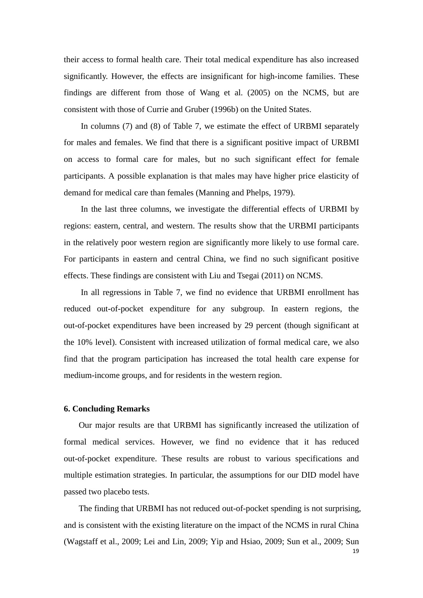their access to formal health care. Their total medical expenditure has also increased significantly. However, the effects are insignificant for high-income families. These findings are different from those of Wang et al. (2005) on the NCMS, but are consistent with those of Currie and Gruber (1996b) on the United States.

In columns (7) and (8) of Table 7, we estimate the effect of URBMI separately for males and females. We find that there is a significant positive impact of URBMI on access to formal care for males, but no such significant effect for female participants. A possible explanation is that males may have higher price elasticity of demand for medical care than females (Manning and Phelps, 1979).

In the last three columns, we investigate the differential effects of URBMI by regions: eastern, central, and western. The results show that the URBMI participants in the relatively poor western region are significantly more likely to use formal care. For participants in eastern and central China, we find no such significant positive effects. These findings are consistent with Liu and Tsegai (2011) on NCMS.

In all regressions in Table 7, we find no evidence that URBMI enrollment has reduced out-of-pocket expenditure for any subgroup. In eastern regions, the out-of-pocket expenditures have been increased by 29 percent (though significant at the 10% level). Consistent with increased utilization of formal medical care, we also find that the program participation has increased the total health care expense for medium-income groups, and for residents in the western region.

#### **6. Concluding Remarks**

Our major results are that URBMI has significantly increased the utilization of formal medical services. However, we find no evidence that it has reduced out-of-pocket expenditure. These results are robust to various specifications and multiple estimation strategies. In particular, the assumptions for our DID model have passed two placebo tests.

The finding that URBMI has not reduced out-of-pocket spending is not surprising, and is consistent with the existing literature on the impact of the NCMS in rural China (Wagstaff et al., 2009; Lei and Lin, 2009; Yip and Hsiao, 2009; Sun et al., 2009; Sun

19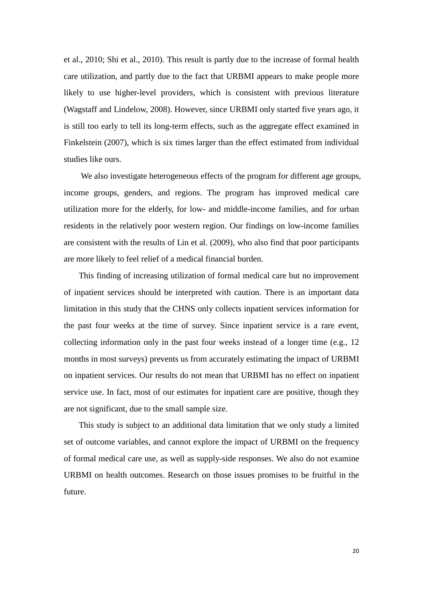et al., 2010; Shi et al., 2010). This result is partly due to the increase of formal health care utilization, and partly due to the fact that URBMI appears to make people more likely to use higher-level providers, which is consistent with previous literature (Wagstaff and Lindelow, 2008). However, since URBMI only started five years ago, it is still too early to tell its long-term effects, such as the aggregate effect examined in Finkelstein (2007), which is six times larger than the effect estimated from individual studies like ours.

We also investigate heterogeneous effects of the program for different age groups, income groups, genders, and regions. The program has improved medical care utilization more for the elderly, for low- and middle-income families, and for urban residents in the relatively poor western region. Our findings on low-income families are consistent with the results of Lin et al. (2009), who also find that poor participants are more likely to feel relief of a medical financial burden.

This finding of increasing utilization of formal medical care but no improvement of inpatient services should be interpreted with caution. There is an important data limitation in this study that the CHNS only collects inpatient services information for the past four weeks at the time of survey. Since inpatient service is a rare event, collecting information only in the past four weeks instead of a longer time (e.g., 12 months in most surveys) prevents us from accurately estimating the impact of URBMI on inpatient services. Our results do not mean that URBMI has no effect on inpatient service use. In fact, most of our estimates for inpatient care are positive, though they are not significant, due to the small sample size.

This study is subject to an additional data limitation that we only study a limited set of outcome variables, and cannot explore the impact of URBMI on the frequency of formal medical care use, as well as supply-side responses. We also do not examine URBMI on health outcomes. Research on those issues promises to be fruitful in the future.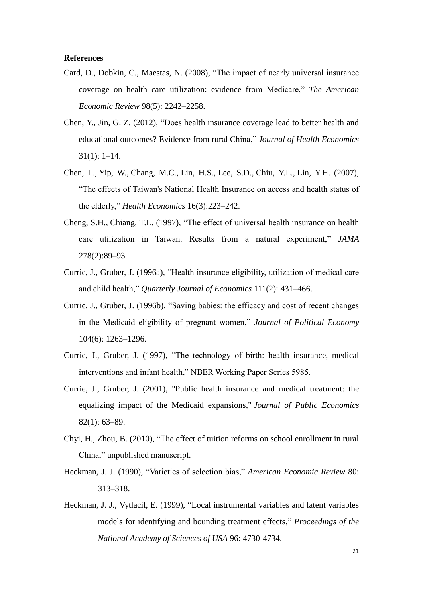#### **References**

- Card, D., Dobkin, C., Maestas, N. (2008), "The impact of nearly universal insurance coverage on health care utilization: evidence from Medicare," *The American Economic Review* 98(5): 2242–2258.
- Chen, Y., Jin, G. Z. (2012), "Does health insurance coverage lead to better health and educational outcomes? Evidence from rural China," *Journal of Health Economics*  31(1): 1–14.
- Chen, L., Yip, W., Chang, M.C., Lin, H.S., Lee, S.D., Chiu, Y.L., Lin, Y.H. (2007), "The effects of Taiwan's National Health Insurance on access and health status of the elderly," *Health Economics* 16(3):223–242.
- Cheng, S.H., Chiang, T.L. (1997), "The effect of universal health insurance on health care utilization in Taiwan. Results from a natural experiment," *JAMA*  278(2):89–93.
- Currie, J., Gruber, J. (1996a), "Health insurance eligibility, utilization of medical care and child health," *Quarterly Journal of Economics* 111(2): 431–466.
- Currie, J., Gruber, J. (1996b), "Saving babies: the efficacy and cost of recent changes in the Medicaid eligibility of pregnant women," *Journal of Political Economy* 104(6): 1263–1296.
- Currie, J., Gruber, J. (1997), "The technology of birth: health insurance, medical interventions and infant health," NBER Working Paper Series 5985.
- Currie, J., Gruber, J. (2001), "Public health insurance and medical treatment: the equalizing impact of the Medicaid expansions," *Journal of Public Economics* 82(1): 63–89.
- Chyi, H., Zhou, B. (2010), "The effect of tuition reforms on school enrollment in rural China," unpublished manuscript.
- Heckman, J. J. (1990), "Varieties of selection bias," *American Economic Review* 80: 313–318.
- Heckman, J. J., Vytlacil, E. (1999), "Local instrumental variables and latent variables models for identifying and bounding treatment effects," *Proceedings of the National Academy of Sciences of USA* 96: 4730-4734.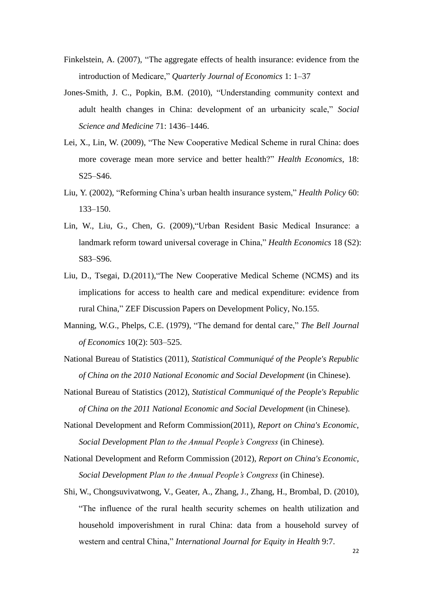- Finkelstein, A. (2007), "The aggregate effects of health insurance: evidence from the introduction of Medicare," *Quarterly Journal of Economics* 1: 1–37
- Jones-Smith, J. C., Popkin, B.M. (2010), "Understanding community context and adult health changes in China: development of an urbanicity scale," *Social Science and Medicine* 71: 1436–1446.
- Lei, X., Lin, W. (2009), "The New Cooperative Medical Scheme in rural China: does more coverage mean more service and better health?" *Health Economics*, 18: S25–S46.
- Liu, Y. (2002), "Reforming China's urban health insurance system," *Health Policy* 60: 133–150.
- Lin, W., Liu, G., Chen, G. (2009),"Urban Resident Basic Medical Insurance: a landmark reform toward universal coverage in China," *Health Economics* 18 (S2): S83–S96.
- Liu, D., Tsegai, D.(2011),"The New Cooperative Medical Scheme (NCMS) and its implications for access to health care and medical expenditure: evidence from rural China," ZEF Discussion Papers on Development Policy, No.155.
- Manning, W.G., Phelps, C.E. (1979), "The demand for dental care," *The Bell Journal of Economics* 10(2): 503–525.
- National Bureau of Statistics (2011), *Statistical Communiqué of the People's Republic of China on the 2010 National Economic and Social Development* (in Chinese).
- National Bureau of Statistics (2012), *Statistical Communiqué of the People's Republic of China on the 2011 National Economic and Social Development* (in Chinese).
- National Development and Reform Commission(2011), *Report on China's Economic, Social Development Plan to the Annual People's Congress* (in Chinese)*.*
- National Development and Reform Commission (2012), *Report on China's Economic, Social Development Plan to the Annual People's Congress* (in Chinese).
- Shi, W., Chongsuvivatwong, V., Geater, A., Zhang, J., Zhang, H., Brombal, D. (2010), "The influence of the rural health security schemes on health utilization and household impoverishment in rural China: data from a household survey of western and central China," *International Journal for Equity in Health* 9:7.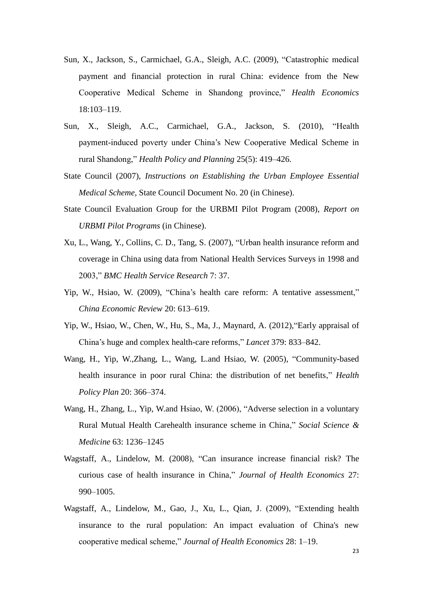- Sun, X., Jackson, S., Carmichael, G.A., Sleigh, A.C. (2009), "Catastrophic medical payment and financial protection in rural China: evidence from the New Cooperative Medical Scheme in Shandong province," *Health Economics* 18:103–119.
- Sun, X., Sleigh, A.C., Carmichael, G.A., Jackson, S. (2010), "Health payment-induced poverty under China's New Cooperative Medical Scheme in rural Shandong," *Health Policy and Planning* 25(5): 419–426.
- State Council (2007), *Instructions on Establishing the Urban Employee Essential Medical Scheme*, State Council Document No. 20 (in Chinese).
- State Council Evaluation Group for the URBMI Pilot Program (2008), *Report on URBMI Pilot Programs* (in Chinese).
- Xu, L., Wang, Y., Collins, C. D., Tang, S. (2007), "Urban health insurance reform and coverage in China using data from National Health Services Surveys in 1998 and 2003," *BMC Health Service Research* 7: 37.
- Yip, W., Hsiao, W. (2009), "China's health care reform: A tentative assessment," *China Economic Review* 20: 613–619.
- Yip, W., Hsiao, W., Chen, W., Hu, S., Ma, J., Maynard, A. (2012),"Early appraisal of China's huge and complex health-care reforms," *Lancet* 379: 833–842.
- Wang, H., Yip, W.,Zhang, L., Wang, L.and Hsiao, W. (2005), "Community-based health insurance in poor rural China: the distribution of net benefits," *Health Policy Plan* 20: 366–374.
- Wang, H., Zhang, L., Yip, W.and Hsiao, W. (2006), "Adverse selection in a voluntary Rural Mutual Health Carehealth insurance scheme in China," *Social Science & Medicine* 63: 1236–1245
- Wagstaff, A., Lindelow, M. (2008), "Can insurance increase financial risk? The curious case of health insurance in China," *Journal of Health Economics* 27: 990–1005.
- Wagstaff, A., Lindelow, M., Gao, J., Xu, L., Qian, J. (2009), "Extending health insurance to the rural population: An impact evaluation of China's new cooperative medical scheme," *Journal of Health Economics* 28: 1–19.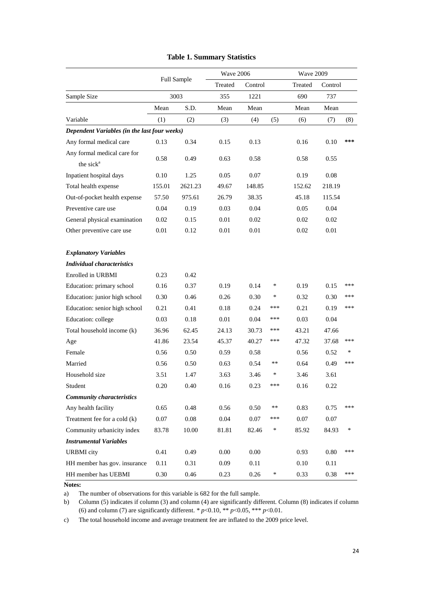|                                                      | Full Sample |          | <b>Wave 2006</b> |          |        | <b>Wave 2009</b> |         |        |
|------------------------------------------------------|-------------|----------|------------------|----------|--------|------------------|---------|--------|
|                                                      |             |          | Treated          | Control  |        | Treated          | Control |        |
| Sample Size                                          |             | 3003     | 355              | 1221     |        | 690              | 737     |        |
|                                                      | Mean        | S.D.     | Mean             | Mean     |        | Mean             | Mean    |        |
| Variable                                             | (1)         | (2)      | (3)              | (4)      | (5)    | (6)              | (7)     | (8)    |
| Dependent Variables (in the last four weeks)         |             |          |                  |          |        |                  |         |        |
| Any formal medical care                              | 0.13        | 0.34     | 0.15             | 0.13     |        | 0.16             | 0.10    | ***    |
| Any formal medical care for<br>the sick <sup>a</sup> | 0.58        | 0.49     | 0.63             | 0.58     |        | 0.58             | 0.55    |        |
| Inpatient hospital days                              | 0.10        | 1.25     | 0.05             | 0.07     |        | 0.19             | 0.08    |        |
| Total health expense                                 | 155.01      | 2621.23  | 49.67            | 148.85   |        | 152.62           | 218.19  |        |
| Out-of-pocket health expense                         | 57.50       | 975.61   | 26.79            | 38.35    |        | 45.18            | 115.54  |        |
| Preventive care use                                  | 0.04        | 0.19     | 0.03             | 0.04     |        | 0.05             | 0.04    |        |
| General physical examination                         | 0.02        | 0.15     | 0.01             | 0.02     |        | 0.02             | 0.02    |        |
| Other preventive care use                            | 0.01        | 0.12     | 0.01             | 0.01     |        | 0.02             | 0.01    |        |
| <b>Explanatory Variables</b>                         |             |          |                  |          |        |                  |         |        |
| <b>Individual characteristics</b>                    |             |          |                  |          |        |                  |         |        |
| Enrolled in URBMI                                    | 0.23        | 0.42     |                  |          |        |                  |         |        |
| Education: primary school                            | 0.16        | 0.37     | 0.19             | 0.14     | $\ast$ | 0.19             | 0.15    | ***    |
| Education: junior high school                        | 0.30        | 0.46     | 0.26             | 0.30     | $\ast$ | 0.32             | 0.30    | ***    |
| Education: senior high school                        | 0.21        | 0.41     | 0.18             | 0.24     | ***    | 0.21             | 0.19    | ***    |
| Education: college                                   | 0.03        | 0.18     | 0.01             | 0.04     | ***    | 0.03             | 0.04    |        |
| Total household income (k)                           | 36.96       | 62.45    | 24.13            | 30.73    | ***    | 43.21            | 47.66   |        |
| Age                                                  | 41.86       | 23.54    | 45.37            | 40.27    | ***    | 47.32            | 37.68   | ***    |
| Female                                               | 0.56        | 0.50     | 0.59             | 0.58     |        | 0.56             | 0.52    | *      |
| Married                                              | 0.56        | 0.50     | 0.63             | 0.54     | **     | 0.64             | 0.49    | ***    |
| Household size                                       | 3.51        | 1.47     | 3.63             | 3.46     | *      | 3.46             | 3.61    |        |
| Student                                              | 0.20        | 0.40     | 0.16             | 0.23     | ***    | 0.16             | 0.22    |        |
| <b>Community characteristics</b>                     |             |          |                  |          |        |                  |         |        |
| Any health facility                                  | 0.65        | 0.48     | 0.56             | 0.50     | $***$  | 0.83             | 0.75    | ***    |
| Treatment fee for a cold (k)                         | 0.07        | $0.08\,$ | 0.04             | $0.07\,$ | ***    | 0.07             | 0.07    |        |
| Community urbanicity index                           | 83.78       | 10.00    | 81.81            | 82.46    | $\ast$ | 85.92            | 84.93   | $\ast$ |
| <b>Instrumental Variables</b>                        |             |          |                  |          |        |                  |         |        |
| <b>URBMI</b> city                                    | 0.41        | 0.49     | 0.00             | $0.00\,$ |        | 0.93             | 0.80    | ***    |
| HH member has gov. insurance                         | 0.11        | 0.31     | 0.09             | 0.11     |        | 0.10             | 0.11    |        |
| HH member has UEBMI                                  | 0.30        | 0.46     | 0.23             | 0.26     | $\ast$ | 0.33             | 0.38    | ***    |

### **Table 1. Summary Statistics**

**Notes:**

a) The number of observations for this variable is 682 for the full sample.

b) Column (5) indicates if column (3) and column (4) are significantly different. Column (8) indicates if column (6) and column (7) are significantly different.  $* p < 0.10, ** p < 0.05, ** p < 0.01$ .

c) The total household income and average treatment fee are inflated to the 2009 price level.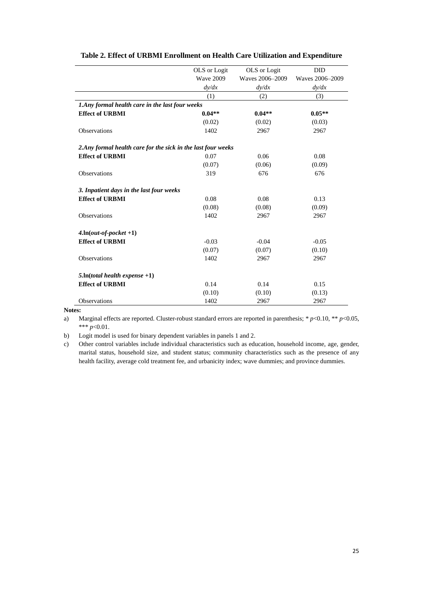|                                                               | OLS or Logit     | OLS or Logit    | DID             |
|---------------------------------------------------------------|------------------|-----------------|-----------------|
|                                                               | <b>Wave 2009</b> | Waves 2006-2009 | Waves 2006-2009 |
|                                                               | dy/dx            | dy/dx           | dy/dx           |
|                                                               | (1)              | (2)             | (3)             |
| 1. Any formal health care in the last four weeks              |                  |                 |                 |
| <b>Effect of URBMI</b>                                        | $0.04**$         | $0.04**$        | $0.05**$        |
|                                                               | (0.02)           | (0.02)          | (0.03)          |
| <b>Observations</b>                                           | 1402             | 2967            | 2967            |
| 2. Any formal health care for the sick in the last four weeks |                  |                 |                 |
| <b>Effect of URBMI</b>                                        | 0.07             | 0.06            | 0.08            |
|                                                               | (0.07)           | (0.06)          | (0.09)          |
| Observations                                                  | 319              | 676             | 676             |
| 3. Inpatient days in the last four weeks                      |                  |                 |                 |
| <b>Effect of URBMI</b>                                        | 0.08             | 0.08            | 0.13            |
|                                                               | (0.08)           | (0.08)          | (0.09)          |
| Observations                                                  | 1402             | 2967            | 2967            |
| $4.$ ln( <i>out-of-pocket</i> +1)                             |                  |                 |                 |
| <b>Effect of URBMI</b>                                        | $-0.03$          | $-0.04$         | $-0.05$         |
|                                                               | (0.07)           | (0.07)          | (0.10)          |
| Observations                                                  | 1402             | 2967            | 2967            |
| $5.$ ln(total health expense +1)                              |                  |                 |                 |
| <b>Effect of URBMI</b>                                        | 0.14             | 0.14            | 0.15            |
|                                                               | (0.10)           | (0.10)          | (0.13)          |
| Observations                                                  | 1402             | 2967            | 2967            |

#### **Table 2. Effect of URBMI Enrollment on Health Care Utilization and Expenditure**

**Notes:** 

a) Marginal effects are reported. Cluster-robust standard errors are reported in parenthesis; \* *p*<0.10, \*\* *p*<0.05, \*\*\* *p*<0.01.

b) Logit model is used for binary dependent variables in panels 1 and 2.

c) Other control variables include individual characteristics such as education, household income, age, gender, marital status, household size, and student status; community characteristics such as the presence of any health facility, average cold treatment fee, and urbanicity index; wave dummies; and province dummies.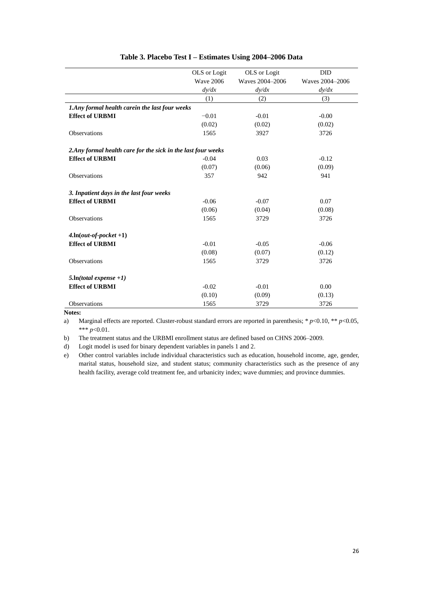|                                                               | OLS or Logit     | OLS or Logit    | <b>DID</b>      |
|---------------------------------------------------------------|------------------|-----------------|-----------------|
|                                                               | <b>Wave 2006</b> | Waves 2004-2006 | Waves 2004-2006 |
|                                                               | dy/dx            | dy/dx           | dy/dx           |
|                                                               | (1)              | (2)             | (3)             |
| 1. Any formal health carein the last four weeks               |                  |                 |                 |
| <b>Effect of URBMI</b>                                        | $-0.01$          | $-0.01$         | $-0.00$         |
|                                                               | (0.02)           | (0.02)          | (0.02)          |
| Observations                                                  | 1565             | 3927            | 3726            |
| 2. Any formal health care for the sick in the last four weeks |                  |                 |                 |
| <b>Effect of URBMI</b>                                        | $-0.04$          | 0.03            | $-0.12$         |
|                                                               | (0.07)           | (0.06)          | (0.09)          |
| Observations                                                  | 357              | 942             | 941             |
| 3. Inpatient days in the last four weeks                      |                  |                 |                 |
| <b>Effect of URBMI</b>                                        | $-0.06$          | $-0.07$         | 0.07            |
|                                                               | (0.06)           | (0.04)          | (0.08)          |
| Observations                                                  | 1565             | 3729            | 3726            |
| $4. ln(out-of-pocket +1)$                                     |                  |                 |                 |
| <b>Effect of URBMI</b>                                        | $-0.01$          | $-0.05$         | $-0.06$         |
|                                                               | (0.08)           | (0.07)          | (0.12)          |
| Observations                                                  | 1565             | 3729            | 3726            |
| $5.$ ln(total expense +1)                                     |                  |                 |                 |
| <b>Effect of URBMI</b>                                        | $-0.02$          | $-0.01$         | 0.00            |
|                                                               | (0.10)           | (0.09)          | (0.13)          |
| Observations                                                  | 1565             | 3729            | 3726            |

#### **Table 3. Placebo Test I – Estimates Using 2004–2006 Data**

**Notes:**

a) Marginal effects are reported. Cluster-robust standard errors are reported in parenthesis; \* *p*<0.10, \*\* *p*<0.05, \*\*\* *p*<0.01.

b) The treatment status and the URBMI enrollment status are defined based on CHNS 2006–2009.

d) Logit model is used for binary dependent variables in panels 1 and 2.

e) Other control variables include individual characteristics such as education, household income, age, gender, marital status, household size, and student status; community characteristics such as the presence of any health facility, average cold treatment fee, and urbanicity index; wave dummies; and province dummies.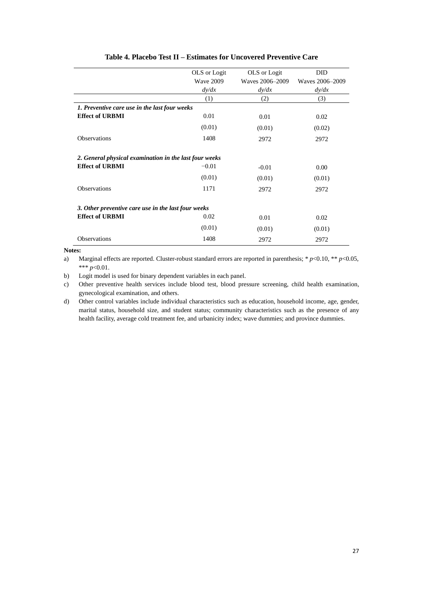|                                                        | OLS or Logit     | OLS or Logit    | <b>DID</b>      |
|--------------------------------------------------------|------------------|-----------------|-----------------|
|                                                        | <b>Wave 2009</b> | Waves 2006–2009 | Waves 2006-2009 |
|                                                        | dy/dx            | dy/dx           | dy/dx           |
|                                                        | (1)              | (2)             | (3)             |
| 1. Preventive care use in the last four weeks          |                  |                 |                 |
| <b>Effect of URBMI</b>                                 | 0.01             | 0.01            | 0.02            |
|                                                        | (0.01)           | (0.01)          | (0.02)          |
| <b>Observations</b>                                    | 1408             | 2972            | 2972            |
| 2. General physical examination in the last four weeks |                  |                 |                 |
| <b>Effect of URBMI</b>                                 | $-0.01$          | $-0.01$         | 0.00            |
|                                                        | (0.01)           | (0.01)          | (0.01)          |
| Observations                                           | 1171             | 2972            | 2972            |
| 3. Other preventive care use in the last four weeks    |                  |                 |                 |
| <b>Effect of URBMI</b>                                 | 0.02             | 0.01            | 0.02            |
|                                                        | (0.01)           | (0.01)          | (0.01)          |
| <b>Observations</b>                                    | 1408             | 2972            | 2972            |

#### **Table 4. Placebo Test II – Estimates for Uncovered Preventive Care**

**Notes:**

a) Marginal effects are reported. Cluster-robust standard errors are reported in parenthesis; \* *p*<0.10, \*\* *p*<0.05, \*\*\* *p*<0.01.

b) Logit model is used for binary dependent variables in each panel.

c) Other preventive health services include blood test, blood pressure screening, child health examination, gynecological examination, and others.

d) Other control variables include individual characteristics such as education, household income, age, gender, marital status, household size, and student status; community characteristics such as the presence of any health facility, average cold treatment fee, and urbanicity index; wave dummies; and province dummies.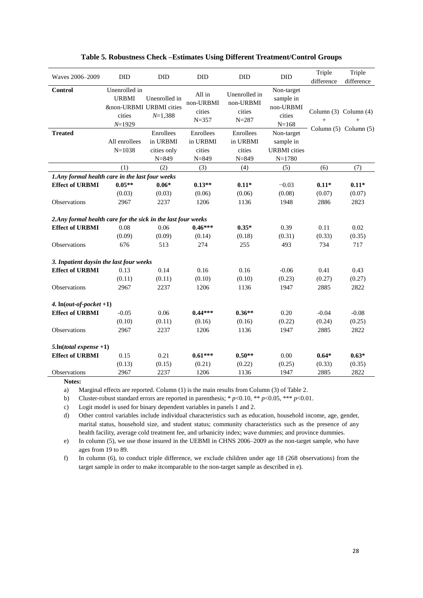| Waves 2006-2009                                               | <b>DID</b>                                                                       | <b>DID</b>                 | <b>DID</b>                                 | <b>DID</b>                                        | <b>DID</b>                                                  | Triple<br>difference                   | Triple<br>difference  |
|---------------------------------------------------------------|----------------------------------------------------------------------------------|----------------------------|--------------------------------------------|---------------------------------------------------|-------------------------------------------------------------|----------------------------------------|-----------------------|
| Control                                                       | Unenrolled in<br><b>URBMI</b><br>&non-URBMI URBMI cities<br>cities<br>$N = 1929$ | Unenrolled in<br>$N=1,388$ | All in<br>non-URBMI<br>cities<br>$N = 357$ | Unenrolled in<br>non-URBMI<br>cities<br>$N = 287$ | Non-target<br>sample in<br>non-URBMI<br>cities<br>$N = 168$ | Column $(3)$ Column $(4)$<br>$\ddot{}$ | $^{+}$                |
| <b>Treated</b>                                                |                                                                                  | Enrollees                  | Enrollees                                  | Enrollees                                         | Non-target                                                  |                                        | Column (5) Column (5) |
|                                                               | All enrollees                                                                    | in URBMI                   | in URBMI                                   | in URBMI                                          | sample in                                                   |                                        |                       |
|                                                               | $N = 1038$                                                                       | cities only                | cities                                     | cities                                            | <b>URBMI</b> cities                                         |                                        |                       |
|                                                               |                                                                                  | $N = 849$                  | $N = 849$                                  | $N = 849$                                         | $N = 1780$                                                  |                                        |                       |
|                                                               | (1)                                                                              | (2)                        | (3)                                        | (4)                                               | (5)                                                         | (6)                                    | (7)                   |
| 1.Any formal health care in the last four weeks               |                                                                                  |                            |                                            |                                                   |                                                             |                                        |                       |
| <b>Effect of URBMI</b>                                        | $0.05**$                                                                         | $0.06*$                    | $0.13**$                                   | $0.11*$                                           | $-0.03$                                                     | $0.11*$                                | $0.11*$               |
|                                                               | (0.03)                                                                           | (0.03)                     | (0.06)                                     | (0.06)                                            | (0.08)                                                      | (0.07)                                 | (0.07)                |
| Observations                                                  | 2967                                                                             | 2237                       | 1206                                       | 1136                                              | 1948                                                        | 2886                                   | 2823                  |
| 2. Any formal health care for the sick in the last four weeks |                                                                                  |                            |                                            |                                                   |                                                             |                                        |                       |
| <b>Effect of URBMI</b>                                        | 0.08                                                                             | 0.06                       | $0.46***$                                  | $0.35*$                                           | 0.39                                                        | 0.11                                   | 0.02                  |
|                                                               | (0.09)                                                                           | (0.09)                     | (0.14)                                     | (0.18)                                            | (0.31)                                                      | (0.33)                                 | (0.35)                |
| Observations                                                  | 676                                                                              | 513                        | 274                                        | 255                                               | 493                                                         | 734                                    | 717                   |
| 3. Inpatient daysin the last four weeks                       |                                                                                  |                            |                                            |                                                   |                                                             |                                        |                       |
| <b>Effect of URBMI</b>                                        | 0.13                                                                             | 0.14                       | 0.16                                       | 0.16                                              | $-0.06$                                                     | 0.41                                   | 0.43                  |
|                                                               | (0.11)                                                                           | (0.11)                     | (0.10)                                     | (0.10)                                            | (0.23)                                                      | (0.27)                                 | (0.27)                |
| Observations                                                  | 2967                                                                             | 2237                       | 1206                                       | 1136                                              | 1947                                                        | 2885                                   | 2822                  |
| 4. $ln(out-of-pocket +1)$                                     |                                                                                  |                            |                                            |                                                   |                                                             |                                        |                       |
| <b>Effect of URBMI</b>                                        | $-0.05$                                                                          | 0.06                       | $0.44***$                                  | $0.36**$                                          | 0.20                                                        | $-0.04$                                | $-0.08$               |
|                                                               | (0.10)                                                                           | (0.11)                     | (0.16)                                     | (0.16)                                            | (0.22)                                                      | (0.24)                                 | (0.25)                |
| Observations                                                  | 2967                                                                             | 2237                       | 1206                                       | 1136                                              | 1947                                                        | 2885                                   | 2822                  |
| $5.$ ln(total expense +1)                                     |                                                                                  |                            |                                            |                                                   |                                                             |                                        |                       |
| <b>Effect of URBMI</b>                                        | 0.15                                                                             | 0.21                       | $0.61***$                                  | $0.50**$                                          | 0.00                                                        | $0.64*$                                | $0.63*$               |
|                                                               | (0.13)                                                                           | (0.15)                     | (0.21)                                     | (0.22)                                            | (0.25)                                                      | (0.33)                                 | (0.35)                |
| Observations                                                  | 2967                                                                             | 2237                       | 1206                                       | 1136                                              | 1947                                                        | 2885                                   | 2822                  |

**Notes:**

a) Marginal effects are reported. Column (1) is the main results from Column (3) of Table 2.

b) Cluster-robust standard errors are reported in parenthesis; \* *p*<0.10, \*\* *p*<0.05, \*\*\* *p*<0.01.

c) Logit model is used for binary dependent variables in panels 1 and 2.

d) Other control variables include individual characteristics such as education, household income, age, gender, marital status, household size, and student status; community characteristics such as the presence of any health facility, average cold treatment fee, and urbanicity index; wave dummies; and province dummies.

e) In column (5), we use those insured in the UEBMI in CHNS 2006–2009 as the non-target sample, who have ages from 19 to 89.

f) In column (6), to conduct triple difference, we exclude children under age 18 (268 observations) from the target sample in order to make itcomparable to the non-target sample as described in e).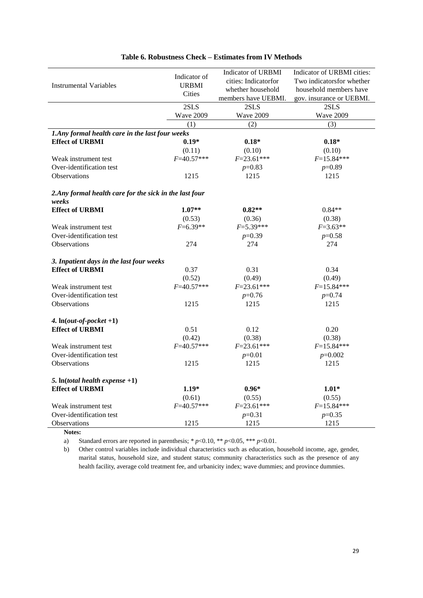|                                                         |                  | <b>Indicator of URBMI</b> | Indicator of URBMI cities: |
|---------------------------------------------------------|------------------|---------------------------|----------------------------|
|                                                         | Indicator of     | cities: Indicatorfor      | Two indicatorsfor whether  |
| <b>Instrumental Variables</b>                           | <b>URBMI</b>     | whether household         | household members have     |
|                                                         | Cities           | members have UEBMI.       | gov. insurance or UEBMI.   |
|                                                         | 2SLS             | 2SLS                      | 2SLS                       |
|                                                         | <b>Wave 2009</b> | <b>Wave 2009</b>          | <b>Wave 2009</b>           |
|                                                         | (1)              | (2)                       | (3)                        |
| 1. Any formal health care in the last four weeks        |                  |                           |                            |
| <b>Effect of URBMI</b>                                  | $0.19*$          | $0.18*$                   | $0.18*$                    |
|                                                         | (0.11)           | (0.10)                    | (0.10)                     |
| Weak instrument test                                    | $F = 40.57***$   | $F = 23.61***$            | $F=15.84***$               |
| Over-identification test                                |                  | $p=0.83$                  | $p=0.89$                   |
| <b>Observations</b>                                     | 1215             | 1215                      | 1215                       |
| 2. Any formal health care for the sick in the last four |                  |                           |                            |
| weeks                                                   |                  |                           |                            |
| <b>Effect of URBMI</b>                                  | $1.07**$         | $0.82**$                  | $0.84**$                   |
|                                                         | (0.53)           | (0.36)                    | (0.38)                     |
| Weak instrument test                                    | $F=6.39**$       | $F=5.39***$               | $F=3.63**$                 |
| Over-identification test                                |                  | $p=0.39$                  | $p=0.58$                   |
| <b>Observations</b>                                     | 274              | 274                       | 274                        |
| 3. Inpatient days in the last four weeks                |                  |                           |                            |
| <b>Effect of URBMI</b>                                  | 0.37             | 0.31                      | 0.34                       |
|                                                         | (0.52)           | (0.49)                    | (0.49)                     |
| Weak instrument test                                    | $F = 40.57***$   | $F = 23.61***$            | $F=15.84***$               |
| Over-identification test                                |                  | $p=0.76$                  | $p=0.74$                   |
| Observations                                            | 1215             | 1215                      | 1215                       |
|                                                         |                  |                           |                            |
| 4. $ln(out-of-pocket +1)$                               |                  |                           |                            |
| <b>Effect of URBMI</b>                                  | 0.51             | 0.12                      | 0.20                       |
|                                                         | (0.42)           | (0.38)                    | (0.38)                     |
| Weak instrument test                                    | $F = 40.57***$   | $F = 23.61***$            | $F=15.84***$               |
| Over-identification test                                |                  | $p=0.01$                  | $p=0.002$                  |
| Observations                                            | 1215             | 1215                      | 1215                       |
| 5. In(total health expense $+1$ )                       |                  |                           |                            |
| <b>Effect of URBMI</b>                                  | $1.19*$          | $0.96*$                   | $1.01*$                    |
|                                                         | (0.61)           | (0.55)                    | (0.55)                     |
| Weak instrument test                                    | $F = 40.57***$   | $F = 23.61***$            | $F=15.84***$               |
| Over-identification test                                |                  | $p=0.31$                  | $p=0.35$                   |
| Observations                                            | 1215             | 1215                      | 1215                       |

#### **Table 6. Robustness Check – Estimates from IV Methods**

**Notes:**

a) Standard errors are reported in parenthesis;  $* p<0.10, ** p<0.05, ** p<0.01$ .

b) Other control variables include individual characteristics such as education, household income, age, gender, marital status, household size, and student status; community characteristics such as the presence of any health facility, average cold treatment fee, and urbanicity index; wave dummies; and province dummies.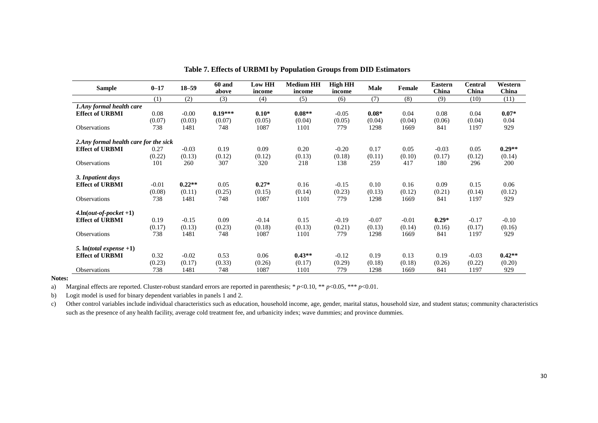| <b>Sample</b>                          | $0 - 17$ | $18 - 59$ | 60 and<br>above | <b>Low HH</b><br>income | <b>Medium HH</b><br>income | <b>High HH</b><br>income | Male    | Female  | Eastern<br>China | <b>Central</b><br>China | Western<br>China |
|----------------------------------------|----------|-----------|-----------------|-------------------------|----------------------------|--------------------------|---------|---------|------------------|-------------------------|------------------|
|                                        | (1)      | (2)       | (3)             | (4)                     | (5)                        | (6)                      | (7)     | (8)     | (9)              | (10)                    | (11)             |
| 1.Any formal health care               |          |           |                 |                         |                            |                          |         |         |                  |                         |                  |
| <b>Effect of URBMI</b>                 | 0.08     | $-0.00$   | $0.19***$       | $0.10*$                 | $0.08**$                   | $-0.05$                  | $0.08*$ | 0.04    | 0.08             | 0.04                    | $0.07*$          |
|                                        | (0.07)   | (0.03)    | (0.07)          | (0.05)                  | (0.04)                     | (0.05)                   | (0.04)  | (0.04)  | (0.06)           | (0.04)                  | 0.04             |
| Observations                           | 738      | 1481      | 748             | 1087                    | 1101                       | 779                      | 1298    | 1669    | 841              | 1197                    | 929              |
| 2. Any formal health care for the sick |          |           |                 |                         |                            |                          |         |         |                  |                         |                  |
| <b>Effect of URBMI</b>                 | 0.27     | $-0.03$   | 0.19            | 0.09                    | 0.20                       | $-0.20$                  | 0.17    | 0.05    | $-0.03$          | 0.05                    | $0.29**$         |
|                                        | (0.22)   | (0.13)    | (0.12)          | (0.12)                  | (0.13)                     | (0.18)                   | (0.11)  | (0.10)  | (0.17)           | (0.12)                  | (0.14)           |
| Observations                           | 101      | 260       | 307             | 320                     | 218                        | 138                      | 259     | 417     | 180              | 296                     | 200              |
| 3. Inpatient days                      |          |           |                 |                         |                            |                          |         |         |                  |                         |                  |
| <b>Effect of URBMI</b>                 | $-0.01$  | $0.22**$  | 0.05            | $0.27*$                 | 0.16                       | $-0.15$                  | 0.10    | 0.16    | 0.09             | 0.15                    | 0.06             |
|                                        | (0.08)   | (0.11)    | (0.25)          | (0.15)                  | (0.14)                     | (0.23)                   | (0.13)  | (0.12)  | (0.21)           | (0.14)                  | (0.12)           |
| Observations                           | 738      | 1481      | 748             | 1087                    | 1101                       | 779                      | 1298    | 1669    | 841              | 1197                    | 929              |
| $4. \ln(\text{out-of-pocket} + 1)$     |          |           |                 |                         |                            |                          |         |         |                  |                         |                  |
| <b>Effect of URBMI</b>                 | 0.19     | $-0.15$   | 0.09            | $-0.14$                 | 0.15                       | $-0.19$                  | $-0.07$ | $-0.01$ | $0.29*$          | $-0.17$                 | $-0.10$          |
|                                        | (0.17)   | (0.13)    | (0.23)          | (0.18)                  | (0.13)                     | (0.21)                   | (0.13)  | (0.14)  | (0.16)           | (0.17)                  | (0.16)           |
| Observations                           | 738      | 1481      | 748             | 1087                    | 1101                       | 779                      | 1298    | 1669    | 841              | 1197                    | 929              |
| 5. $\ln(total \text{ expense} + 1)$    |          |           |                 |                         |                            |                          |         |         |                  |                         |                  |
| <b>Effect of URBMI</b>                 | 0.32     | $-0.02$   | 0.53            | 0.06                    | $0.43**$                   | $-0.12$                  | 0.19    | 0.13    | 0.19             | $-0.03$                 | $0.42**$         |
|                                        | (0.23)   | (0.17)    | (0.33)          | (0.26)                  | (0.17)                     | (0.29)                   | (0.18)  | (0.18)  | (0.26)           | (0.22)                  | (0.20)           |
| <b>Observations</b>                    | 738      | 1481      | 748             | 1087                    | 1101                       | 779                      | 1298    | 1669    | 841              | 1197                    | 929              |

**Table 7. Effects of URBMI by Population Groups from DID Estimators**

#### **Notes:**

a) Marginal effects are reported. Cluster-robust standard errors are reported in parenthesis; \* *p*<0.10, \*\* *p*<0.05, \*\*\* *p*<0.01.

b) Logit model is used for binary dependent variables in panels 1 and 2.

c) Other control variables include individual characteristics such as education, household income, age, gender, marital status, household size, and student status; community characteristics such as the presence of any health facility, average cold treatment fee, and urbanicity index; wave dummies; and province dummies.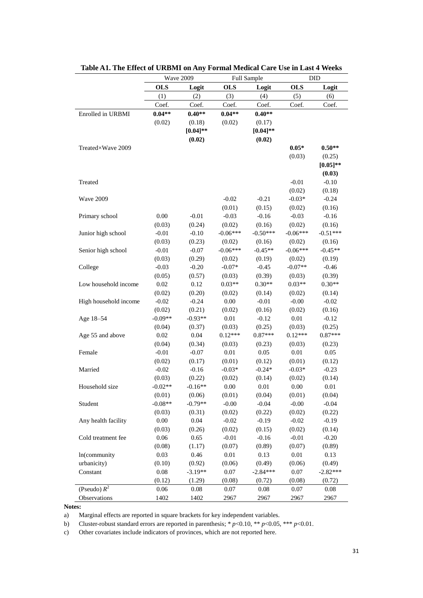|                       | Wave 2009  |            |            | Full Sample | DID        |             |  |
|-----------------------|------------|------------|------------|-------------|------------|-------------|--|
|                       | <b>OLS</b> | Logit      | <b>OLS</b> | Logit       | <b>OLS</b> | Logit       |  |
|                       | (1)        | (2)        | (3)        | (4)         | (5)        | (6)         |  |
|                       | Coef.      | Coef.      | Coef.      | Coef.       | Coef.      | Coef.       |  |
| Enrolled in URBMI     | $0.04**$   | $0.40**$   | $0.04**$   | $0.40**$    |            |             |  |
|                       | (0.02)     | (0.18)     | (0.02)     | (0.17)      |            |             |  |
|                       |            | $[0.04]**$ |            | $[0.04]$ ** |            |             |  |
|                       |            | (0.02)     |            | (0.02)      |            |             |  |
| Treated ×Wave 2009    |            |            |            |             | $0.05*$    | $0.50**$    |  |
|                       |            |            |            |             | (0.03)     | (0.25)      |  |
|                       |            |            |            |             |            | $[0.05]$ ** |  |
|                       |            |            |            |             |            | (0.03)      |  |
| Treated               |            |            |            |             | $-0.01$    | $-0.10$     |  |
|                       |            |            |            |             | (0.02)     | (0.18)      |  |
| Wave 2009             |            |            | $-0.02$    | $-0.21$     | $-0.03*$   | $-0.24$     |  |
|                       |            |            | (0.01)     | (0.15)      | (0.02)     | (0.16)      |  |
| Primary school        | 0.00       | $-0.01$    | $-0.03$    | $-0.16$     | $-0.03$    | $-0.16$     |  |
|                       | (0.03)     | (0.24)     | (0.02)     | (0.16)      | (0.02)     | (0.16)      |  |
| Junior high school    | $-0.01$    | $-0.10$    | $-0.06***$ | $-0.50***$  | $-0.06***$ | $-0.51***$  |  |
|                       | (0.03)     | (0.23)     | (0.02)     | (0.16)      | (0.02)     | (0.16)      |  |
| Senior high school    | $-0.01$    | $-0.07$    | $-0.06***$ | $-0.45**$   | $-0.06***$ | $-0.45**$   |  |
|                       | (0.03)     | (0.29)     | (0.02)     | (0.19)      | (0.02)     | (0.19)      |  |
| College               | $-0.03$    | $-0.20$    | $-0.07*$   | $-0.45$     | $-0.07**$  | $-0.46$     |  |
|                       | (0.05)     | (0.57)     | (0.03)     | (0.39)      | (0.03)     | (0.39)      |  |
| Low household income  | 0.02       | 0.12       | $0.03**$   | $0.30**$    | $0.03**$   | $0.30**$    |  |
|                       | (0.02)     | (0.20)     | (0.02)     | (0.14)      | (0.02)     | (0.14)      |  |
| High household income | $-0.02$    | $-0.24$    | $0.00\,$   | $-0.01$     | $-0.00$    | $-0.02$     |  |
|                       | (0.02)     | (0.21)     | (0.02)     | (0.16)      | (0.02)     | (0.16)      |  |
| Age 18-54             | $-0.09**$  | $-0.93**$  | $0.01\,$   | $-0.12$     | $0.01\,$   | $-0.12$     |  |
|                       | (0.04)     | (0.37)     | (0.03)     | (0.25)      | (0.03)     | (0.25)      |  |
| Age 55 and above      | 0.02       | 0.04       | $0.12***$  | $0.87***$   | $0.12***$  | $0.87***$   |  |
|                       | (0.04)     | (0.34)     | (0.03)     | (0.23)      | (0.03)     | (0.23)      |  |
| Female                | $-0.01$    | $-0.07$    | $0.01\,$   | 0.05        | $0.01\,$   | 0.05        |  |
|                       | (0.02)     | (0.17)     | (0.01)     | (0.12)      | (0.01)     | (0.12)      |  |
| Married               | $-0.02$    | $-0.16$    | $-0.03*$   | $-0.24*$    | $-0.03*$   | $-0.23$     |  |
|                       | (0.03)     | (0.22)     | (0.02)     | (0.14)      | (0.02)     | (0.14)      |  |
| Household size        | $-0.02**$  | $-0.16**$  | 0.00       | 0.01        | 0.00       | 0.01        |  |
|                       | (0.01)     | (0.06)     | (0.01)     | (0.04)      | (0.01)     | (0.04)      |  |
| Student               | $-0.08**$  | $-0.79**$  | $-0.00$    | $-0.04$     | $-0.00$    | $-0.04$     |  |
|                       | (0.03)     | (0.31)     | (0.02)     | (0.22)      | (0.02)     | (0.22)      |  |
| Any health facility   | $0.00\,$   | 0.04       | $-0.02$    | $-0.19$     | $-0.02$    | $-0.19$     |  |
|                       | (0.03)     | (0.26)     | (0.02)     | (0.15)      | (0.02)     | (0.14)      |  |
| Cold treatment fee    | 0.06       | 0.65       | $-0.01$    | $-0.16$     | $-0.01$    | $-0.20$     |  |
|                       | (0.08)     | (1.17)     | (0.07)     | (0.89)      | (0.07)     | (0.89)      |  |
| In(community          | 0.03       | 0.46       | $0.01\,$   | 0.13        | 0.01       | 0.13        |  |
| urbanicity)           | (0.10)     | (0.92)     | (0.06)     | (0.49)      | (0.06)     | (0.49)      |  |
| Constant              | 0.08       | $-3.19**$  | $0.07\,$   | $-2.84***$  | 0.07       | $-2.82***$  |  |
|                       | (0.12)     | (1.29)     | (0.08)     | (0.72)      | (0.08)     | (0.72)      |  |
| (Pseudo) $R^2$        | 0.06       | 0.08       | 0.07       | 0.08        | 0.07       | 0.08        |  |
| Observations          | 1402       | 1402       | 2967       | 2967        | 2967       | 2967        |  |

**Notes:**

a) Marginal effects are reported in square brackets for key independent variables.

b) Cluster-robust standard errors are reported in parenthesis; \* *p*<0.10, \*\* *p*<0.05, \*\*\* *p*<0.01.

c) Other covariates include indicators of provinces, which are not reported here.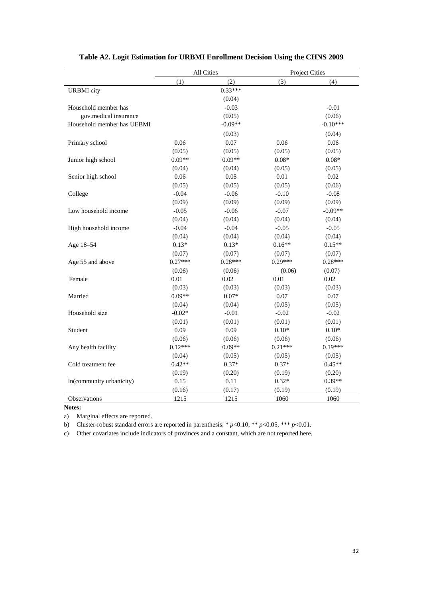|                            | All Cities |           | <b>Project Cities</b> |            |  |
|----------------------------|------------|-----------|-----------------------|------------|--|
|                            | (1)        | (2)       | (3)                   | (4)        |  |
| <b>URBMI</b> city          |            | $0.33***$ |                       |            |  |
|                            |            | (0.04)    |                       |            |  |
| Household member has       |            | $-0.03$   |                       | $-0.01$    |  |
| gov.medical insurance      |            | (0.05)    |                       | (0.06)     |  |
| Household member has UEBMI |            | $-0.09**$ |                       | $-0.10***$ |  |
|                            |            | (0.03)    |                       | (0.04)     |  |
| Primary school             | 0.06       | 0.07      | 0.06                  | 0.06       |  |
|                            | (0.05)     | (0.05)    | (0.05)                | (0.05)     |  |
| Junior high school         | $0.09**$   | $0.09**$  | $0.08*$               | $0.08*$    |  |
|                            | (0.04)     | (0.04)    | (0.05)                | (0.05)     |  |
| Senior high school         | 0.06       | 0.05      | 0.01                  | 0.02       |  |
|                            | (0.05)     | (0.05)    | (0.05)                | (0.06)     |  |
| College                    | $-0.04$    | $-0.06$   | $-0.10$               | $-0.08$    |  |
|                            | (0.09)     | (0.09)    | (0.09)                | (0.09)     |  |
| Low household income       | $-0.05$    | $-0.06$   | $-0.07$               | $-0.09**$  |  |
|                            | (0.04)     | (0.04)    | (0.04)                | (0.04)     |  |
| High household income      | $-0.04$    | $-0.04$   | $-0.05$               | $-0.05$    |  |
|                            | (0.04)     | (0.04)    | (0.04)                | (0.04)     |  |
| Age 18-54                  | $0.13*$    | $0.13*$   | $0.16**$              | $0.15**$   |  |
|                            | (0.07)     | (0.07)    | (0.07)                | (0.07)     |  |
| Age 55 and above           | $0.27***$  | $0.28***$ | $0.29***$             | $0.28***$  |  |
|                            | (0.06)     | (0.06)    | (0.06)                | (0.07)     |  |
| Female                     | 0.01       | 0.02      | 0.01                  | 0.02       |  |
|                            | (0.03)     | (0.03)    | (0.03)                | (0.03)     |  |
| Married                    | $0.09**$   | $0.07*$   | 0.07                  | 0.07       |  |
|                            | (0.04)     | (0.04)    | (0.05)                | (0.05)     |  |
| Household size             | $-0.02*$   | $-0.01$   | $-0.02$               | $-0.02$    |  |
|                            | (0.01)     | (0.01)    | (0.01)                | (0.01)     |  |
| Student                    | 0.09       | 0.09      | $0.10*$               | $0.10*$    |  |
|                            | (0.06)     | (0.06)    | (0.06)                | (0.06)     |  |
| Any health facility        | $0.12***$  | $0.09**$  | $0.21***$             | $0.19***$  |  |
|                            | (0.04)     | (0.05)    | (0.05)                | (0.05)     |  |
| Cold treatment fee         | $0.42**$   | $0.37*$   | $0.37*$               | $0.45**$   |  |
|                            | (0.19)     | (0.20)    | (0.19)                | (0.20)     |  |
| In(community urbanicity)   | 0.15       | 0.11      | $0.32*$               | $0.39**$   |  |
|                            | (0.16)     | (0.17)    | (0.19)                | (0.19)     |  |
| Observations               | 1215       | 1215      | 1060                  | 1060       |  |

# **Table A2. Logit Estimation for URBMI Enrollment Decision Using the CHNS 2009**

**Notes:**

a) Marginal effects are reported.

b) Cluster-robust standard errors are reported in parenthesis; \* *p*<0.10, \*\* *p*<0.05, \*\*\* *p*<0.01.

c) Other covariates include indicators of provinces and a constant, which are not reported here.